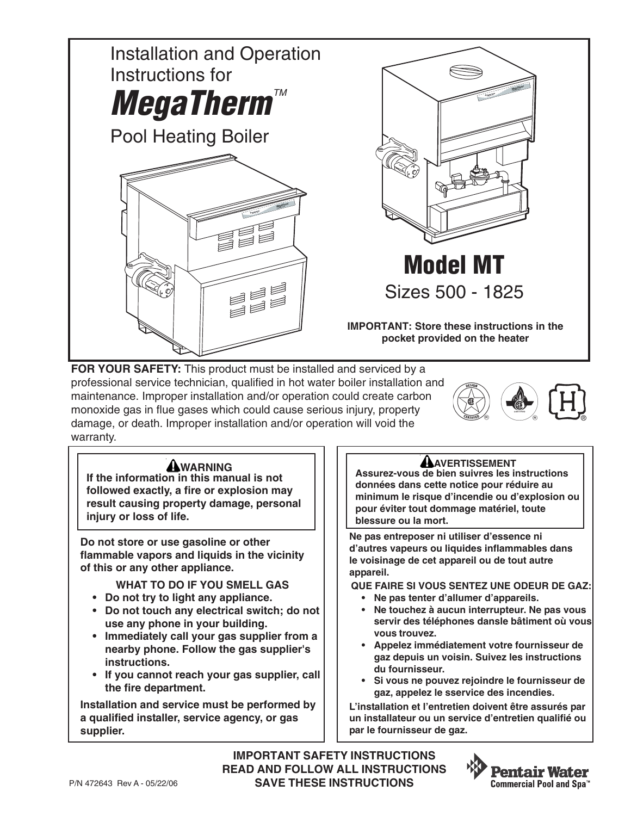

**FOR YOUR SAFETY:** This product must be installed and serviced by a professional service technician, qualified in hot water boiler installation and maintenance. Improper installation and/or operation could create carbon monoxide gas in flue gases which could cause serious injury, property damage, or death. Improper installation and/or operation will void the warranty.



### **AWARNING**

**If the information in this manual is not followed exactly, a fire or explosion may result causing property damage, personal injury or loss of life.**

**Do not store or use gasoline or other flammable vapors and liquids in the vicinity of this or any other appliance.**

**WHAT TO DO IF YOU SMELL GAS**

- **Do not try to light any appliance.**
- **Do not touch any electrical switch; do not use any phone in your building.**
- **Immediately call your gas supplier from a nearby phone. Follow the gas supplier's instructions.**
- **If you cannot reach your gas supplier, call the fire department.**

**Installation and service must be performed by a qualified installer, service agency, or gas supplier.**

### **ANVERTISSEMENT**

**Assurez-vous de bien suivres les instructions données dans cette notice pour réduire au minimum le risque d'incendie ou d'explosion ou pour éviter tout dommage matériel, toute blessure ou la mort.**

**Ne pas entreposer ni utiliser d'essence ni d'autres vapeurs ou liquides inflammables dans le voisinage de cet appareil ou de tout autre appareil.**

**QUE FAIRE SI VOUS SENTEZ UNE ODEUR DE GAZ:**

- **Ne pas tenter d'allumer d'appareils.**
- **Ne touchez à aucun interrupteur. Ne pas vous servir des téléphones dansle bâtiment où vous vous trouvez.**
- **Appelez immédiatement votre fournisseur de gaz depuis un voisin. Suivez les instructions du fournisseur.**
- **Si vous ne pouvez rejoindre le fournisseur de gaz, appelez le sservice des incendies.**

**L'installation et l'entretien doivent être assurés par un installateur ou un service d'entretien qualifié ou par le fournisseur de gaz.**

**IMPORTANT SAFETY INSTRUCTIONS READ AND FOLLOW ALL INSTRUCTIONS SAVE THESE INSTRUCTIONS**

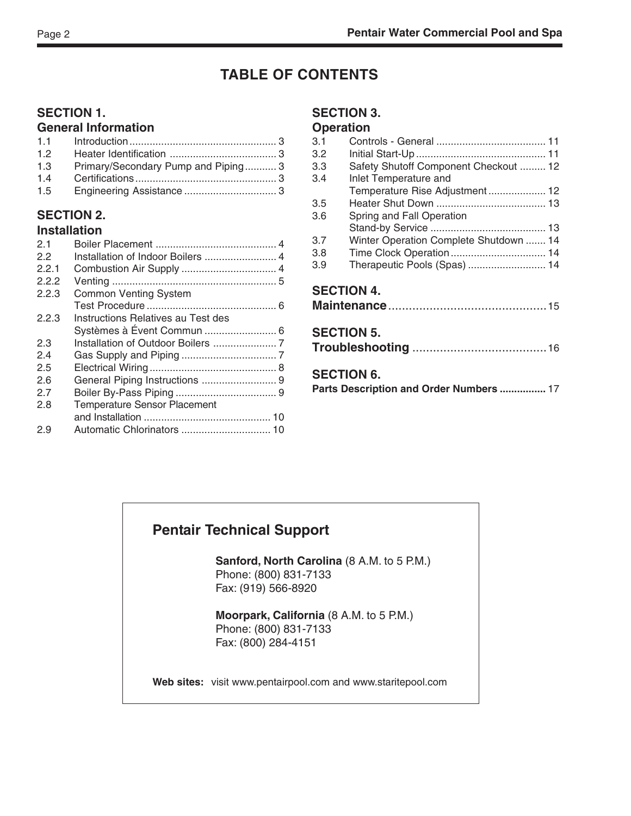# **TABLE OF CONTENTS**

### **SECTION 1.**

### **General Information**

| 1.2 |                                    |  |
|-----|------------------------------------|--|
| 1.3 | Primary/Secondary Pump and Piping3 |  |
| 1.4 |                                    |  |
| 1.5 |                                    |  |

#### **SECTION 2. Installation**

| 2.1   |                                     |  |
|-------|-------------------------------------|--|
| 22    | Installation of Indoor Boilers  4   |  |
| 2.2.1 |                                     |  |
| 2.2.2 |                                     |  |
| 2.2.3 | <b>Common Venting System</b>        |  |
|       |                                     |  |
| 2.2.3 | Instructions Relatives au Test des  |  |
|       |                                     |  |
| 2.3   |                                     |  |
| 2.4   |                                     |  |
| 2.5   |                                     |  |
| 2.6   | General Piping Instructions  9      |  |
| 2.7   |                                     |  |
| 2.8   | <b>Temperature Sensor Placement</b> |  |
|       |                                     |  |
| 2.9   |                                     |  |
|       |                                     |  |

#### **SECTION 3.**

#### **Operation**

| 3.1 |                                                              |  |
|-----|--------------------------------------------------------------|--|
| 3.2 |                                                              |  |
| 3.3 | Safety Shutoff Component Checkout  12                        |  |
| 3.4 | Inlet Temperature and                                        |  |
|     | Temperature Rise Adjustment 12                               |  |
| 3.5 |                                                              |  |
| 3.6 | Spring and Fall Operation                                    |  |
|     |                                                              |  |
| 3.7 | Winter Operation Complete Shutdown  14                       |  |
| 3.8 |                                                              |  |
| 3.9 | Therapeutic Pools (Spas)  14                                 |  |
|     | <b>SECTION 4.</b>                                            |  |
|     | <b>SECTION 5.</b>                                            |  |
|     | <b>SECTION 6.</b><br>Parts Description and Order Numbers  17 |  |

### **Pentair Technical Support**

**Sanford, North Carolina** (8 A.M. to 5 P.M.) Phone: (800) 831-7133 Fax: (919) 566-8920

**Moorpark, California** (8 A.M. to 5 P.M.) Phone: (800) 831-7133 Fax: (800) 284-4151

**Web sites:** visit www.pentairpool.com and www.staritepool.com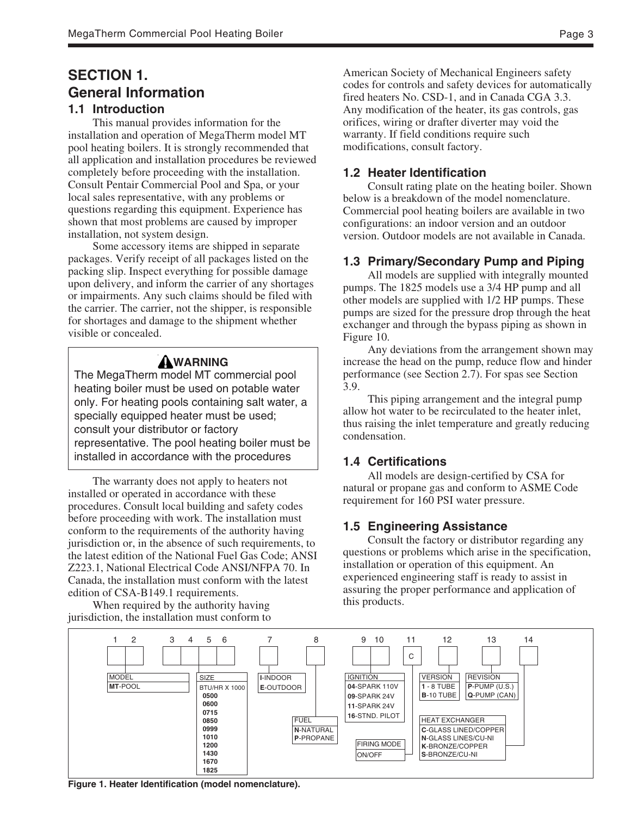# **SECTION 1. General Information**

### **1.1 Introduction**

This manual provides information for the installation and operation of MegaTherm model MT pool heating boilers. It is strongly recommended that all application and installation procedures be reviewed completely before proceeding with the installation. Consult Pentair Commercial Pool and Spa, or your local sales representative, with any problems or questions regarding this equipment. Experience has shown that most problems are caused by improper installation, not system design.

Some accessory items are shipped in separate packages. Verify receipt of all packages listed on the packing slip. Inspect everything for possible damage upon delivery, and inform the carrier of any shortages or impairments. Any such claims should be filed with the carrier. The carrier, not the shipper, is responsible for shortages and damage to the shipment whether visible or concealed.

## **WARNING**

The MegaTherm model MT commercial pool heating boiler must be used on potable water only. For heating pools containing salt water, a specially equipped heater must be used; consult your distributor or factory representative. The pool heating boiler must be installed in accordance with the procedures

The warranty does not apply to heaters not installed or operated in accordance with these procedures. Consult local building and safety codes before proceeding with work. The installation must conform to the requirements of the authority having jurisdiction or, in the absence of such requirements, to the latest edition of the National Fuel Gas Code; ANSI Z223.1, National Electrical Code ANSI/NFPA 70. In Canada, the installation must conform with the latest edition of CSA-B149.1 requirements.

When required by the authority having jurisdiction, the installation must conform to American Society of Mechanical Engineers safety codes for controls and safety devices for automatically fired heaters No. CSD-1, and in Canada CGA 3.3. Any modification of the heater, its gas controls, gas orifices, wiring or drafter diverter may void the warranty. If field conditions require such modifications, consult factory.

#### **1.2 Heater Identification**

Consult rating plate on the heating boiler. Shown below is a breakdown of the model nomenclature. Commercial pool heating boilers are available in two configurations: an indoor version and an outdoor version. Outdoor models are not available in Canada.

#### **1.3 Primary/Secondary Pump and Piping**

All models are supplied with integrally mounted pumps. The 1825 models use a 3/4 HP pump and all other models are supplied with 1/2 HP pumps. These pumps are sized for the pressure drop through the heat exchanger and through the bypass piping as shown in Figure 10.

Any deviations from the arrangement shown may increase the head on the pump, reduce flow and hinder performance (see Section 2.7). For spas see Section 3.9.

This piping arrangement and the integral pump allow hot water to be recirculated to the heater inlet, thus raising the inlet temperature and greatly reducing condensation.

#### **1.4 Certifications**

All models are design-certified by CSA for natural or propane gas and conform to ASME Code requirement for 160 PSI water pressure.

#### **1.5 Engineering Assistance**

Consult the factory or distributor regarding any questions or problems which arise in the specification, installation or operation of this equipment. An experienced engineering staff is ready to assist in assuring the proper performance and application of this products.



**Figure 1. Heater Identification (model nomenclature).**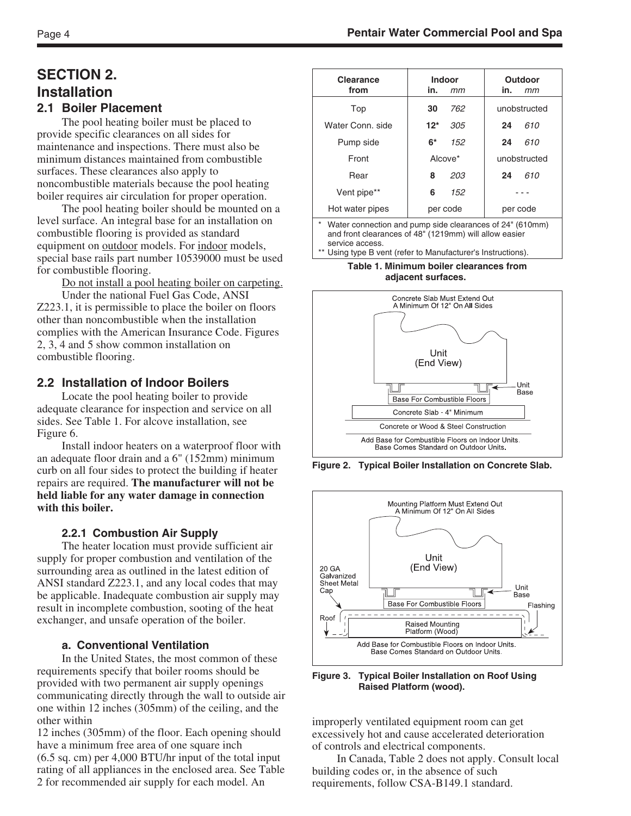# **SECTION 2. Installation**

### **2.1 Boiler Placement**

The pool heating boiler must be placed to provide specific clearances on all sides for maintenance and inspections. There must also be minimum distances maintained from combustible surfaces. These clearances also apply to noncombustible materials because the pool heating boiler requires air circulation for proper operation.

The pool heating boiler should be mounted on a level surface. An integral base for an installation on combustible flooring is provided as standard equipment on **outdoor** models. For indoor models, special base rails part number 10539000 must be used for combustible flooring.

Do not install a pool heating boiler on carpeting.

Under the national Fuel Gas Code, ANSI Z223.1, it is permissible to place the boiler on floors other than noncombustible when the installation complies with the American Insurance Code. Figures 2, 3, 4 and 5 show common installation on combustible flooring.

### **2.2 Installation of Indoor Boilers**

Locate the pool heating boiler to provide adequate clearance for inspection and service on all sides. See Table 1. For alcove installation, see Figure 6.

Install indoor heaters on a waterproof floor with an adequate floor drain and a 6" (152mm) minimum curb on all four sides to protect the building if heater repairs are required. **The manufacturer will not be held liable for any water damage in connection with this boiler.**

### **2.2.1 Combustion Air Supply**

The heater location must provide sufficient air supply for proper combustion and ventilation of the surrounding area as outlined in the latest edition of ANSI standard Z223.1, and any local codes that may be applicable. Inadequate combustion air supply may result in incomplete combustion, sooting of the heat exchanger, and unsafe operation of the boiler.

#### **a. Conventional Ventilation**

In the United States, the most common of these requirements specify that boiler rooms should be provided with two permanent air supply openings communicating directly through the wall to outside air one within 12 inches (305mm) of the ceiling, and the other within

12 inches (305mm) of the floor. Each opening should have a minimum free area of one square inch (6.5 sq. cm) per 4,000 BTU/hr input of the total input rating of all appliances in the enclosed area. See Table 2 for recommended air supply for each model. An

| <b>Indoor</b> | Outdoor      |
|---------------|--------------|
| in.<br>mm     | in.<br>mт    |
| 762<br>30     | unobstructed |
| $12*$<br>305  | 610<br>24    |
| 6*<br>152     | 610<br>24    |
| Alcove*       | unobstructed |
| 203<br>8      | 610<br>24    |
| 152<br>6      |              |
| per code      | per code     |
|               |              |

Water connection and pump side clearances of 24" (610mm) and front clearances of 48" (1219mm) will allow easier service access.

Using type B vent (refer to Manufacturer's Instructions).

**Table 1. Minimum boiler clearances from adjacent surfaces.**

Concrete Slab Must Extend Out A Minimum Of 12" On All Sides Unit (End View) **Unit** Base Base For Combustible Floors Concrete Slab - 4" Minimum Concrete or Wood & Steel Construction Add Base for Combustible Floors on Indoor Units. Base Comes Standard on Outdoor Units.

**Figure 2. Typical Boiler Installation on Concrete Slab.**



**Figure 3. Typical Boiler Installation on Roof Using Raised Platform (wood).**

improperly ventilated equipment room can get excessively hot and cause accelerated deterioration of controls and electrical components.

In Canada, Table 2 does not apply. Consult local building codes or, in the absence of such requirements, follow CSA-B149.1 standard.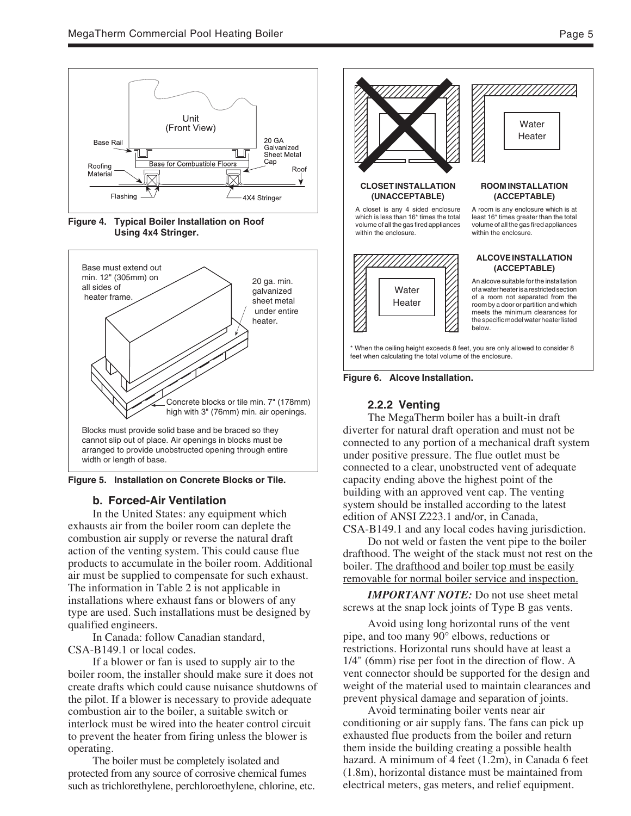







#### **b. Forced-Air Ventilation**

In the United States: any equipment which exhausts air from the boiler room can deplete the combustion air supply or reverse the natural draft action of the venting system. This could cause flue products to accumulate in the boiler room. Additional air must be supplied to compensate for such exhaust. The information in Table 2 is not applicable in installations where exhaust fans or blowers of any type are used. Such installations must be designed by qualified engineers.

In Canada: follow Canadian standard, CSA-B149.1 or local codes.

If a blower or fan is used to supply air to the boiler room, the installer should make sure it does not create drafts which could cause nuisance shutdowns of the pilot. If a blower is necessary to provide adequate combustion air to the boiler, a suitable switch or interlock must be wired into the heater control circuit to prevent the heater from firing unless the blower is operating.

The boiler must be completely isolated and protected from any source of corrosive chemical fumes such as trichlorethylene, perchloroethylene, chlorine, etc.





#### **2.2.2 Venting**

The MegaTherm boiler has a built-in draft diverter for natural draft operation and must not be connected to any portion of a mechanical draft system under positive pressure. The flue outlet must be connected to a clear, unobstructed vent of adequate capacity ending above the highest point of the building with an approved vent cap. The venting system should be installed according to the latest edition of ANSI Z223.1 and/or, in Canada, CSA-B149.1 and any local codes having jurisdiction.

Do not weld or fasten the vent pipe to the boiler drafthood. The weight of the stack must not rest on the boiler. The drafthood and boiler top must be easily removable for normal boiler service and inspection.

*IMPORTANT NOTE:* Do not use sheet metal screws at the snap lock joints of Type B gas vents.

Avoid using long horizontal runs of the vent pipe, and too many 90° elbows, reductions or restrictions. Horizontal runs should have at least a 1/4" (6mm) rise per foot in the direction of flow. A vent connector should be supported for the design and weight of the material used to maintain clearances and prevent physical damage and separation of joints.

Avoid terminating boiler vents near air conditioning or air supply fans. The fans can pick up exhausted flue products from the boiler and return them inside the building creating a possible health hazard. A minimum of 4 feet (1.2m), in Canada 6 feet (1.8m), horizontal distance must be maintained from electrical meters, gas meters, and relief equipment.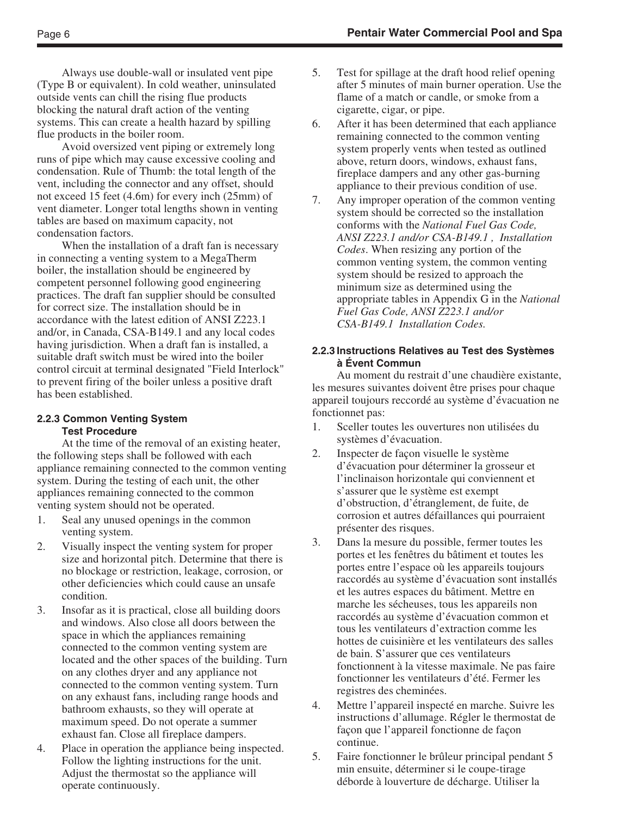Always use double-wall or insulated vent pipe (Type B or equivalent). In cold weather, uninsulated outside vents can chill the rising flue products blocking the natural draft action of the venting systems. This can create a health hazard by spilling flue products in the boiler room.

Avoid oversized vent piping or extremely long runs of pipe which may cause excessive cooling and condensation. Rule of Thumb: the total length of the vent, including the connector and any offset, should not exceed 15 feet (4.6m) for every inch (25mm) of vent diameter. Longer total lengths shown in venting tables are based on maximum capacity, not condensation factors.

When the installation of a draft fan is necessary in connecting a venting system to a MegaTherm boiler, the installation should be engineered by competent personnel following good engineering practices. The draft fan supplier should be consulted for correct size. The installation should be in accordance with the latest edition of ANSI Z223.1 and/or, in Canada, CSA-B149.1 and any local codes having jurisdiction. When a draft fan is installed, a suitable draft switch must be wired into the boiler control circuit at terminal designated "Field Interlock" to prevent firing of the boiler unless a positive draft has been established.

#### **2.2.3 Common Venting System Test Procedure**

At the time of the removal of an existing heater, the following steps shall be followed with each appliance remaining connected to the common venting system. During the testing of each unit, the other appliances remaining connected to the common venting system should not be operated.

- 1. Seal any unused openings in the common venting system.
- 2. Visually inspect the venting system for proper size and horizontal pitch. Determine that there is no blockage or restriction, leakage, corrosion, or other deficiencies which could cause an unsafe condition.
- 3. Insofar as it is practical, close all building doors and windows. Also close all doors between the space in which the appliances remaining connected to the common venting system are located and the other spaces of the building. Turn on any clothes dryer and any appliance not connected to the common venting system. Turn on any exhaust fans, including range hoods and bathroom exhausts, so they will operate at maximum speed. Do not operate a summer exhaust fan. Close all fireplace dampers.
- 4. Place in operation the appliance being inspected. Follow the lighting instructions for the unit. Adjust the thermostat so the appliance will operate continuously.
- 5. Test for spillage at the draft hood relief opening after 5 minutes of main burner operation. Use the flame of a match or candle, or smoke from a cigarette, cigar, or pipe.
- 6. After it has been determined that each appliance remaining connected to the common venting system properly vents when tested as outlined above, return doors, windows, exhaust fans, fireplace dampers and any other gas-burning appliance to their previous condition of use.
- 7. Any improper operation of the common venting system should be corrected so the installation conforms with the *National Fuel Gas Code, ANSI Z223.1 and/or CSA-B149.1 , Installation Codes*. When resizing any portion of the common venting system, the common venting system should be resized to approach the minimum size as determined using the appropriate tables in Appendix G in the *National Fuel Gas Code, ANSI Z223.1 and/or CSA-B149.1 Installation Codes.*

#### **2.2.3 Instructions Relatives au Test des Systèmes à Évent Commun**

Au moment du restrait d'une chaudière existante, les mesures suivantes doivent être prises pour chaque appareil toujours reccordé au système d'évacuation ne fonctionnet pas:

- 1. Sceller toutes les ouvertures non utilisées du systèmes d'évacuation.
- 2. Inspecter de façon visuelle le système d'évacuation pour déterminer la grosseur et l'inclinaison horizontale qui conviennent et s'assurer que le système est exempt d'obstruction, d'étranglement, de fuite, de corrosion et autres défaillances qui pourraient présenter des risques.
- 3. Dans la mesure du possible, fermer toutes les portes et les fenêtres du bâtiment et toutes les portes entre l'espace où les appareils toujours raccordés au système d'évacuation sont installés et les autres espaces du bâtiment. Mettre en marche les sécheuses, tous les appareils non raccordés au système d'évacuation common et tous les ventilateurs d'extraction comme les hottes de cuisinière et les ventilateurs des salles de bain. S'assurer que ces ventilateurs fonctionnent à la vitesse maximale. Ne pas faire fonctionner les ventilateurs d'été. Fermer les registres des cheminées.
- 4. Mettre l'appareil inspecté en marche. Suivre les instructions d'allumage. Régler le thermostat de façon que l'appareil fonctionne de façon continue.
- 5. Faire fonctionner le brûleur principal pendant 5 min ensuite, déterminer si le coupe-tirage déborde à louverture de décharge. Utiliser la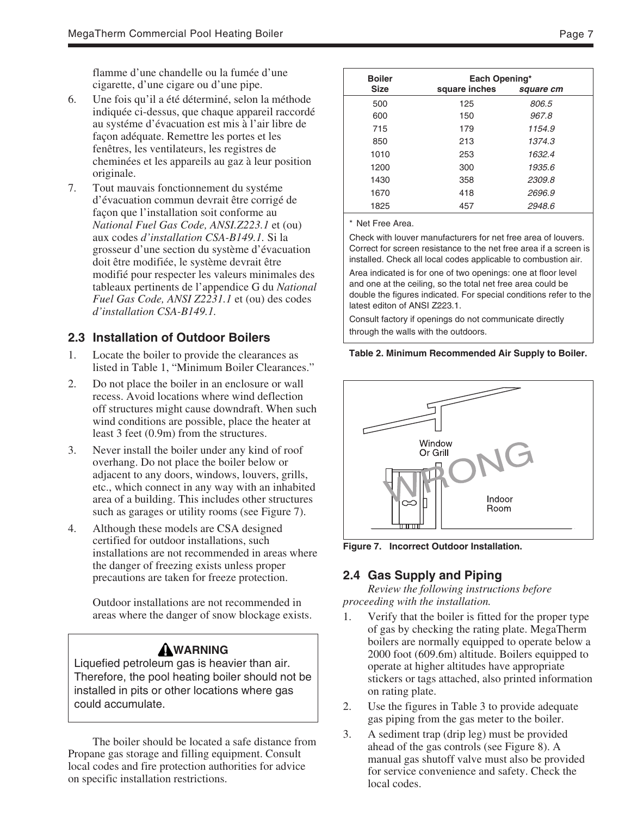flamme d'une chandelle ou la fumée d'une cigarette, d'une cigare ou d'une pipe.

- 6. Une fois qu'il a été déterminé, selon la méthode indiquée ci-dessus, que chaque appareil raccordé au systéme d'évacuation est mis à l'air libre de façon adéquate. Remettre les portes et les fenêtres, les ventilateurs, les registres de cheminées et les appareils au gaz à leur position originale.
- 7. Tout mauvais fonctionnement du systéme d'évacuation commun devrait être corrigé de façon que l'installation soit conforme au *National Fuel Gas Code, ANSI.Z223.1* et (ou) aux codes *d'installation CSA-B149.1.* Si la grosseur d'une section du système d'évacuation doit être modifiée, le système devrait être modifié pour respecter les valeurs minimales des tableaux pertinents de l'appendice G du *National Fuel Gas Code, ANSI Z2231.1* et (ou) des codes *d'installation CSA-B149.1.*

### **2.3 Installation of Outdoor Boilers**

- 1. Locate the boiler to provide the clearances as listed in Table 1, "Minimum Boiler Clearances."
- 2. Do not place the boiler in an enclosure or wall recess. Avoid locations where wind deflection off structures might cause downdraft. When such wind conditions are possible, place the heater at least 3 feet (0.9m) from the structures.
- 3. Never install the boiler under any kind of roof overhang. Do not place the boiler below or adjacent to any doors, windows, louvers, grills, etc., which connect in any way with an inhabited area of a building. This includes other structures such as garages or utility rooms (see Figure 7).
- 4. Although these models are CSA designed certified for outdoor installations, such installations are not recommended in areas where the danger of freezing exists unless proper precautions are taken for freeze protection.

Outdoor installations are not recommended in areas where the danger of snow blockage exists.

### **WARNING**

Liquefied petroleum gas is heavier than air. Therefore, the pool heating boiler should not be installed in pits or other locations where gas could accumulate.

The boiler should be located a safe distance from Propane gas storage and filling equipment. Consult local codes and fire protection authorities for advice on specific installation restrictions.

| <b>Boiler</b> | Each Opening* |           |
|---------------|---------------|-----------|
| <b>Size</b>   | square inches | square cm |
| 500           | 125           | 806.5     |
| 600           | 150           | 967.8     |
| 715           | 179           | 1154.9    |
| 850           | 213           | 1374.3    |
| 1010          | 253           | 1632.4    |
| 1200          | 300           | 1935.6    |
| 1430          | 358           | 2309.8    |
| 1670          | 418           | 2696.9    |
| 1825          | 457           | 2948.6    |
|               |               |           |

\* Net Free Area.

Check with louver manufacturers for net free area of louvers. Correct for screen resistance to the net free area if a screen is installed. Check all local codes applicable to combustion air.

Area indicated is for one of two openings: one at floor level and one at the ceiling, so the total net free area could be double the figures indicated. For special conditions refer to the latest editon of ANSI Z223.1.

Consult factory if openings do not communicate directly through the walls with the outdoors.

#### **Table 2. Minimum Recommended Air Supply to Boiler.**



**Figure 7. Incorrect Outdoor Installation.**

### **2.4 Gas Supply and Piping**

*Review the following instructions before proceeding with the installation.*

- 1. Verify that the boiler is fitted for the proper type of gas by checking the rating plate. MegaTherm boilers are normally equipped to operate below a 2000 foot (609.6m) altitude. Boilers equipped to operate at higher altitudes have appropriate stickers or tags attached, also printed information on rating plate.
- 2. Use the figures in Table 3 to provide adequate gas piping from the gas meter to the boiler.
- 3. A sediment trap (drip leg) must be provided ahead of the gas controls (see Figure 8). A manual gas shutoff valve must also be provided for service convenience and safety. Check the local codes.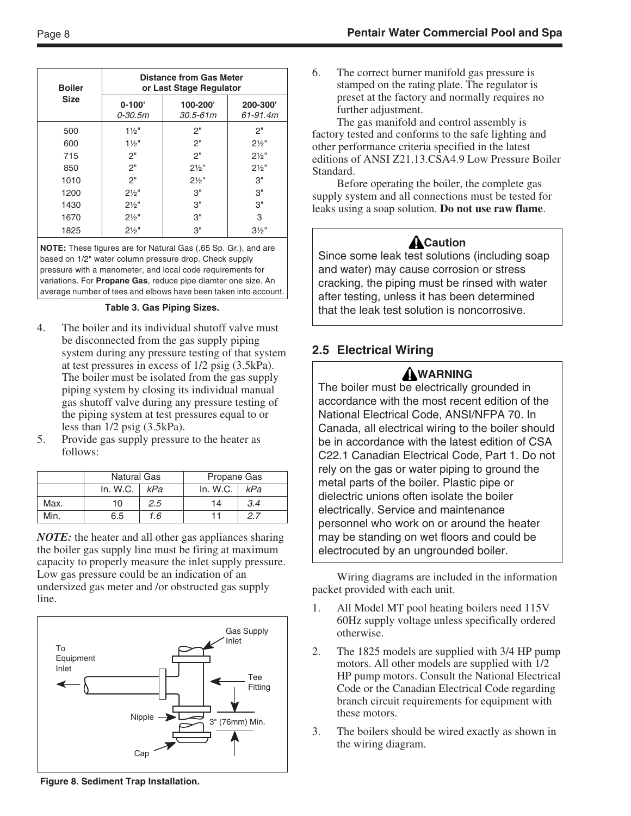| <b>Boiler</b> |                           | <b>Distance from Gas Meter</b><br>or Last Stage Regulator |                     |
|---------------|---------------------------|-----------------------------------------------------------|---------------------|
| <b>Size</b>   | $0 - 100'$<br>$0 - 30.5m$ | 100-200'<br>$30.5 - 61m$                                  | 200-300<br>61-91.4m |
| 500           | $1\frac{1}{2}$ "          | 2"                                                        | 2"                  |
| 600           | $1\frac{1}{2}$ "          | 2"                                                        | $2\frac{1}{2}$ "    |
| 715           | 2"                        | 2"                                                        | $2\frac{1}{2}$ "    |
| 850           | 2"                        | $2\frac{1}{2}$ "                                          | $2\frac{1}{2}$ "    |
| 1010          | 2"                        | $2\frac{1}{2}$ "                                          | 3"                  |
| 1200          | $2\frac{1}{2}$ "          | 3"                                                        | 3"                  |
| 1430          | $2\frac{1}{2}$ "          | 3"                                                        | 3"                  |
| 1670          | $2\frac{1}{2}$ "          | 3"                                                        | 3                   |
| 1825          | $2\frac{1}{2}$ "          | 3"                                                        | $3\frac{1}{2}$ "    |

**NOTE:** These figures are for Natural Gas (.65 Sp. Gr.), and are based on 1/2" water column pressure drop. Check supply pressure with a manometer, and local code requirements for variations. For **Propane Gas**, reduce pipe diamter one size. An average number of tees and elbows have been taken into account.

**Table 3. Gas Piping Sizes.**

- 4. The boiler and its individual shutoff valve must be disconnected from the gas supply piping system during any pressure testing of that system at test pressures in excess of 1/2 psig (3.5kPa). The boiler must be isolated from the gas supply piping system by closing its individual manual gas shutoff valve during any pressure testing of the piping system at test pressures equal to or less than 1/2 psig (3.5kPa).
- 5. Provide gas supply pressure to the heater as follows:

|      | <b>Natural Gas</b> |     | Propane Gas |     |
|------|--------------------|-----|-------------|-----|
|      | In. $W.C.$         | kPa | In. W.C.    | kPa |
| Max. | 10                 | 2.5 | 14          | 3.4 |
| Min. | 6.5                | 1.6 |             |     |

*NOTE:* the heater and all other gas appliances sharing the boiler gas supply line must be firing at maximum capacity to properly measure the inlet supply pressure. Low gas pressure could be an indication of an undersized gas meter and /or obstructed gas supply line.



**Figure 8. Sediment Trap Installation.**

6. The correct burner manifold gas pressure is stamped on the rating plate. The regulator is preset at the factory and normally requires no further adjustment.

The gas manifold and control assembly is factory tested and conforms to the safe lighting and other performance criteria specified in the latest editions of ANSI Z21.13.CSA4.9 Low Pressure Boiler Standard.

Before operating the boiler, the complete gas supply system and all connections must be tested for leaks using a soap solution. **Do not use raw flame**.

# ACaution

Since some leak test solutions (including soap and water) may cause corrosion or stress cracking, the piping must be rinsed with water after testing, unless it has been determined that the leak test solution is noncorrosive.

### **2.5 Electrical Wiring**

### **WARNING**

The boiler must be electrically grounded in accordance with the most recent edition of the National Electrical Code, ANSI/NFPA 70. In Canada, all electrical wiring to the boiler should be in accordance with the latest edition of CSA C22.1 Canadian Electrical Code, Part 1. Do not rely on the gas or water piping to ground the metal parts of the boiler. Plastic pipe or dielectric unions often isolate the boiler electrically. Service and maintenance personnel who work on or around the heater may be standing on wet floors and could be electrocuted by an ungrounded boiler.

Wiring diagrams are included in the information packet provided with each unit.

- 1. All Model MT pool heating boilers need 115V 60Hz supply voltage unless specifically ordered otherwise.
- 2. The 1825 models are supplied with 3/4 HP pump motors. All other models are supplied with 1/2 HP pump motors. Consult the National Electrical Code or the Canadian Electrical Code regarding branch circuit requirements for equipment with these motors.
- 3. The boilers should be wired exactly as shown in the wiring diagram.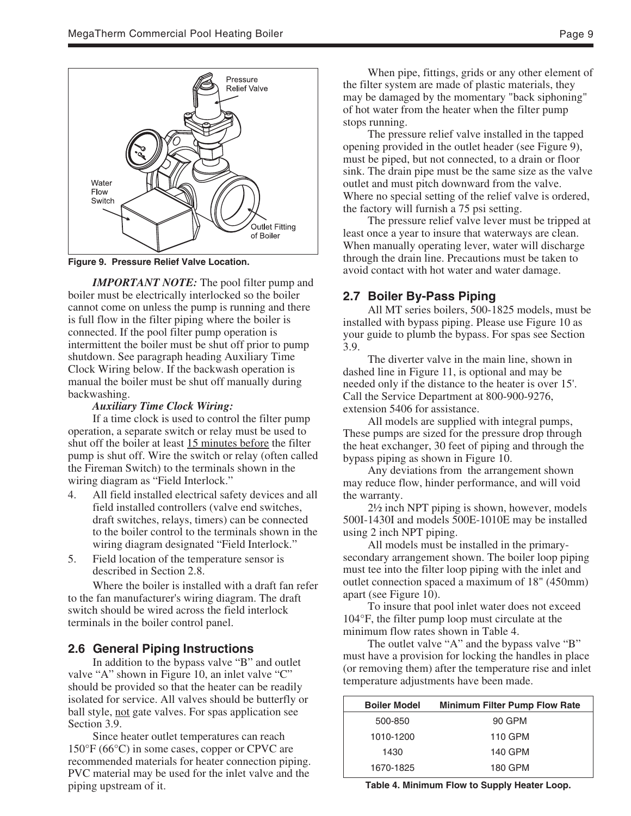

**Figure 9. Pressure Relief Valve Location.**

*IMPORTANT NOTE:* The pool filter pump and boiler must be electrically interlocked so the boiler cannot come on unless the pump is running and there is full flow in the filter piping where the boiler is connected. If the pool filter pump operation is intermittent the boiler must be shut off prior to pump shutdown. See paragraph heading Auxiliary Time Clock Wiring below. If the backwash operation is manual the boiler must be shut off manually during backwashing.

#### *Auxiliary Time Clock Wiring:*

If a time clock is used to control the filter pump operation, a separate switch or relay must be used to shut off the boiler at least 15 minutes before the filter pump is shut off. Wire the switch or relay (often called the Fireman Switch) to the terminals shown in the wiring diagram as "Field Interlock."

- 4. All field installed electrical safety devices and all field installed controllers (valve end switches, draft switches, relays, timers) can be connected to the boiler control to the terminals shown in the wiring diagram designated "Field Interlock."
- 5. Field location of the temperature sensor is described in Section 2.8.

Where the boiler is installed with a draft fan refer to the fan manufacturer's wiring diagram. The draft switch should be wired across the field interlock terminals in the boiler control panel.

#### **2.6 General Piping Instructions**

In addition to the bypass valve "B" and outlet valve "A" shown in Figure 10, an inlet valve "C" should be provided so that the heater can be readily isolated for service. All valves should be butterfly or ball style, not gate valves. For spas application see Section 3.9.

Since heater outlet temperatures can reach 150°F (66°C) in some cases, copper or CPVC are recommended materials for heater connection piping. PVC material may be used for the inlet valve and the piping upstream of it.

When pipe, fittings, grids or any other element of the filter system are made of plastic materials, they may be damaged by the momentary "back siphoning" of hot water from the heater when the filter pump stops running.

The pressure relief valve installed in the tapped opening provided in the outlet header (see Figure 9), must be piped, but not connected, to a drain or floor sink. The drain pipe must be the same size as the valve outlet and must pitch downward from the valve. Where no special setting of the relief valve is ordered, the factory will furnish a 75 psi setting.

The pressure relief valve lever must be tripped at least once a year to insure that waterways are clean. When manually operating lever, water will discharge through the drain line. Precautions must be taken to avoid contact with hot water and water damage.

#### **2.7 Boiler By-Pass Piping**

All MT series boilers, 500-1825 models, must be installed with bypass piping. Please use Figure 10 as your guide to plumb the bypass. For spas see Section 3.9.

The diverter valve in the main line, shown in dashed line in Figure 11, is optional and may be needed only if the distance to the heater is over 15'. Call the Service Department at 800-900-9276, extension 5406 for assistance.

All models are supplied with integral pumps, These pumps are sized for the pressure drop through the heat exchanger, 30 feet of piping and through the bypass piping as shown in Figure 10.

Any deviations from the arrangement shown may reduce flow, hinder performance, and will void the warranty.

2½ inch NPT piping is shown, however, models 500I-1430I and models 500E-1010E may be installed using 2 inch NPT piping.

All models must be installed in the primarysecondary arrangement shown. The boiler loop piping must tee into the filter loop piping with the inlet and outlet connection spaced a maximum of 18" (450mm) apart (see Figure 10).

To insure that pool inlet water does not exceed 104°F, the filter pump loop must circulate at the minimum flow rates shown in Table 4.

The outlet valve "A" and the bypass valve "B" must have a provision for locking the handles in place (or removing them) after the temperature rise and inlet temperature adjustments have been made.

| <b>Boiler Model</b> | <b>Minimum Filter Pump Flow Rate</b> |
|---------------------|--------------------------------------|
| 500-850             | 90 GPM                               |
| 1010-1200           | 110 GPM                              |
| 1430                | 140 GPM                              |
| 1670-1825           | 180 GPM                              |

**Table 4. Minimum Flow to Supply Heater Loop.**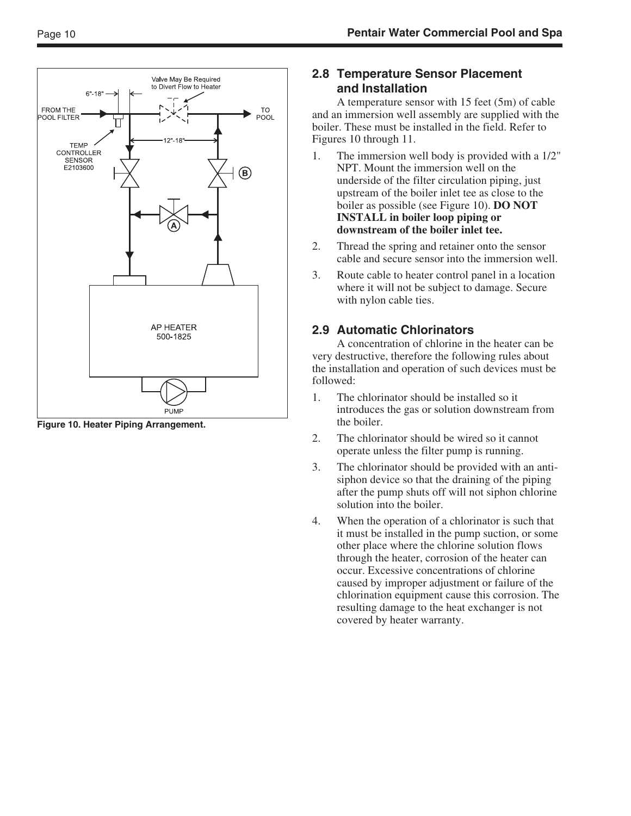

**Figure 10. Heater Piping Arrangement.**

### **2.8 Temperature Sensor Placement and Installation**

A temperature sensor with 15 feet (5m) of cable and an immersion well assembly are supplied with the boiler. These must be installed in the field. Refer to Figures 10 through 11.

- 1. The immersion well body is provided with a 1/2" NPT. Mount the immersion well on the underside of the filter circulation piping, just upstream of the boiler inlet tee as close to the boiler as possible (see Figure 10). **DO NOT INSTALL in boiler loop piping or downstream of the boiler inlet tee.**
- 2. Thread the spring and retainer onto the sensor cable and secure sensor into the immersion well.
- 3. Route cable to heater control panel in a location where it will not be subject to damage. Secure with nylon cable ties.

# **2.9 Automatic Chlorinators**

A concentration of chlorine in the heater can be very destructive, therefore the following rules about the installation and operation of such devices must be followed:

- 1. The chlorinator should be installed so it introduces the gas or solution downstream from the boiler.
- 2. The chlorinator should be wired so it cannot operate unless the filter pump is running.
- 3. The chlorinator should be provided with an antisiphon device so that the draining of the piping after the pump shuts off will not siphon chlorine solution into the boiler.
- 4. When the operation of a chlorinator is such that it must be installed in the pump suction, or some other place where the chlorine solution flows through the heater, corrosion of the heater can occur. Excessive concentrations of chlorine caused by improper adjustment or failure of the chlorination equipment cause this corrosion. The resulting damage to the heat exchanger is not covered by heater warranty.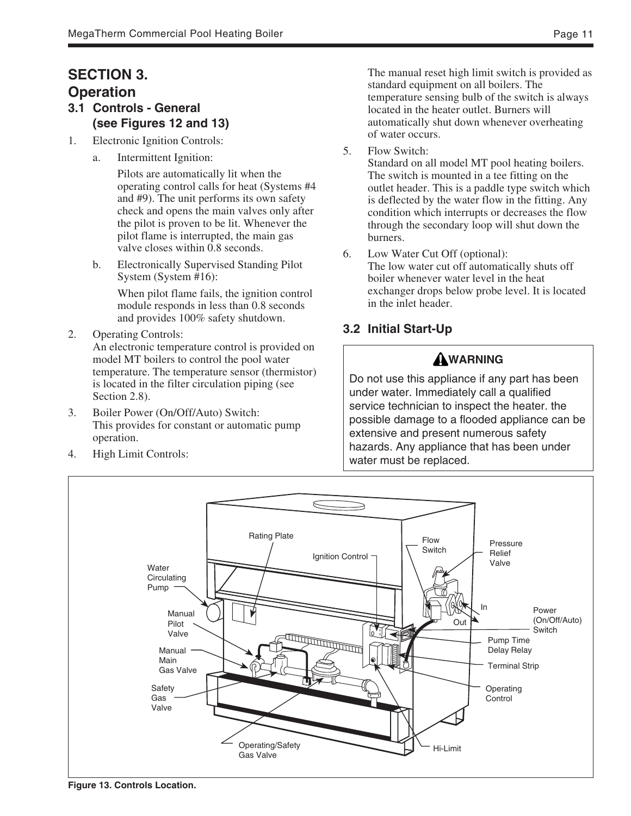# **SECTION 3. Operation**

- **3.1 Controls General (see Figures 12 and 13)**
- 1. Electronic Ignition Controls:
	- a. Intermittent Ignition:

Pilots are automatically lit when the operating control calls for heat (Systems #4 and #9). The unit performs its own safety check and opens the main valves only after the pilot is proven to be lit. Whenever the pilot flame is interrupted, the main gas valve closes within 0.8 seconds.

b. Electronically Supervised Standing Pilot System (System #16):

> When pilot flame fails, the ignition control module responds in less than 0.8 seconds and provides 100% safety shutdown.

- 2. Operating Controls: An electronic temperature control is provided on model MT boilers to control the pool water temperature. The temperature sensor (thermistor) is located in the filter circulation piping (see Section 2.8).
- 3. Boiler Power (On/Off/Auto) Switch: This provides for constant or automatic pump operation.
- 4. High Limit Controls:

The manual reset high limit switch is provided as standard equipment on all boilers. The temperature sensing bulb of the switch is always located in the heater outlet. Burners will automatically shut down whenever overheating of water occurs.

5. Flow Switch:

Standard on all model MT pool heating boilers. The switch is mounted in a tee fitting on the outlet header. This is a paddle type switch which is deflected by the water flow in the fitting. Any condition which interrupts or decreases the flow through the secondary loop will shut down the burners.

6. Low Water Cut Off (optional): The low water cut off automatically shuts off boiler whenever water level in the heat exchanger drops below probe level. It is located in the inlet header.

# **3.2 Initial Start-Up**

# **WARNING**

Do not use this appliance if any part has been under water. Immediately call a qualified service technician to inspect the heater. the possible damage to a flooded appliance can be extensive and present numerous safety hazards. Any appliance that has been under water must be replaced.



**Figure 13. Controls Location.**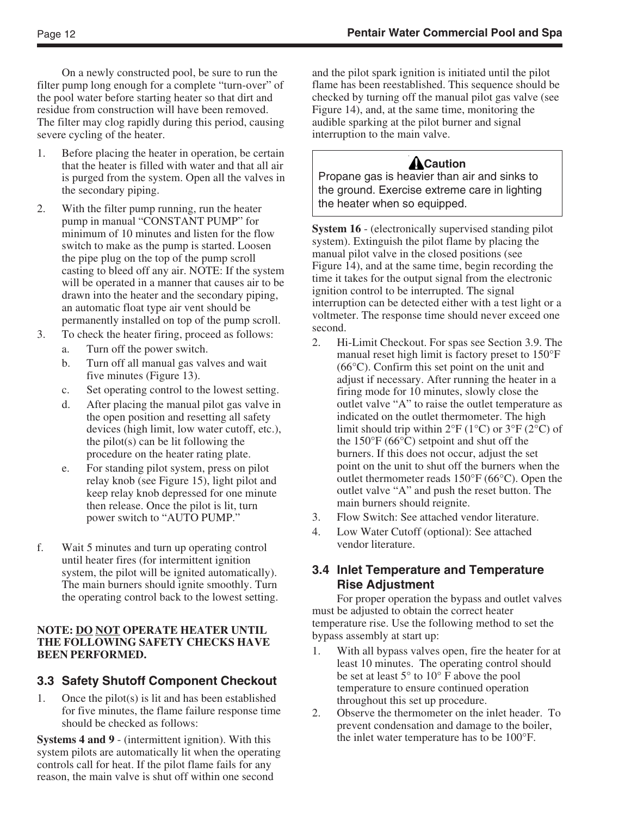On a newly constructed pool, be sure to run the filter pump long enough for a complete "turn-over" of the pool water before starting heater so that dirt and residue from construction will have been removed. The filter may clog rapidly during this period, causing severe cycling of the heater.

- 1. Before placing the heater in operation, be certain that the heater is filled with water and that all air is purged from the system. Open all the valves in the secondary piping.
- 2. With the filter pump running, run the heater pump in manual "CONSTANT PUMP" for minimum of 10 minutes and listen for the flow switch to make as the pump is started. Loosen the pipe plug on the top of the pump scroll casting to bleed off any air. NOTE: If the system will be operated in a manner that causes air to be drawn into the heater and the secondary piping, an automatic float type air vent should be permanently installed on top of the pump scroll.
- 3. To check the heater firing, proceed as follows:
	- a. Turn off the power switch.
	- b. Turn off all manual gas valves and wait five minutes (Figure 13).
	- c. Set operating control to the lowest setting.
	- d. After placing the manual pilot gas valve in the open position and resetting all safety devices (high limit, low water cutoff, etc.), the pilot(s) can be lit following the procedure on the heater rating plate.
	- e. For standing pilot system, press on pilot relay knob (see Figure 15), light pilot and keep relay knob depressed for one minute then release. Once the pilot is lit, turn power switch to "AUTO PUMP."
- f. Wait 5 minutes and turn up operating control until heater fires (for intermittent ignition system, the pilot will be ignited automatically). The main burners should ignite smoothly. Turn the operating control back to the lowest setting.

#### **NOTE: DO NOT OPERATE HEATER UNTIL THE FOLLOWING SAFETY CHECKS HAVE BEEN PERFORMED.**

### **3.3 Safety Shutoff Component Checkout**

1. Once the pilot(s) is lit and has been established for five minutes, the flame failure response time should be checked as follows:

**Systems 4 and 9** - (intermittent ignition). With this system pilots are automatically lit when the operating controls call for heat. If the pilot flame fails for any reason, the main valve is shut off within one second

and the pilot spark ignition is initiated until the pilot flame has been reestablished. This sequence should be checked by turning off the manual pilot gas valve (see Figure 14), and, at the same time, monitoring the audible sparking at the pilot burner and signal interruption to the main valve.

# ACaution

Propane gas is heavier than air and sinks to the ground. Exercise extreme care in lighting the heater when so equipped.

**System 16** - (electronically supervised standing pilot system). Extinguish the pilot flame by placing the manual pilot valve in the closed positions (see Figure 14), and at the same time, begin recording the time it takes for the output signal from the electronic ignition control to be interrupted. The signal interruption can be detected either with a test light or a voltmeter. The response time should never exceed one second.

- 2. Hi-Limit Checkout. For spas see Section 3.9. The manual reset high limit is factory preset to 150°F (66°C). Confirm this set point on the unit and adjust if necessary. After running the heater in a firing mode for 10 minutes, slowly close the outlet valve "A" to raise the outlet temperature as indicated on the outlet thermometer. The high limit should trip within  $2^{\circ}F(1^{\circ}C)$  or  $3^{\circ}F(2^{\circ}C)$  of the 150°F (66°C) setpoint and shut off the burners. If this does not occur, adjust the set point on the unit to shut off the burners when the outlet thermometer reads 150°F (66°C). Open the outlet valve "A" and push the reset button. The main burners should reignite.
- 3. Flow Switch: See attached vendor literature.
- 4. Low Water Cutoff (optional): See attached vendor literature.

### **3.4 Inlet Temperature and Temperature Rise Adjustment**

For proper operation the bypass and outlet valves must be adjusted to obtain the correct heater temperature rise. Use the following method to set the bypass assembly at start up:

- 1. With all bypass valves open, fire the heater for at least 10 minutes. The operating control should be set at least 5° to 10° F above the pool temperature to ensure continued operation throughout this set up procedure.
- 2. Observe the thermometer on the inlet header. To prevent condensation and damage to the boiler, the inlet water temperature has to be 100°F.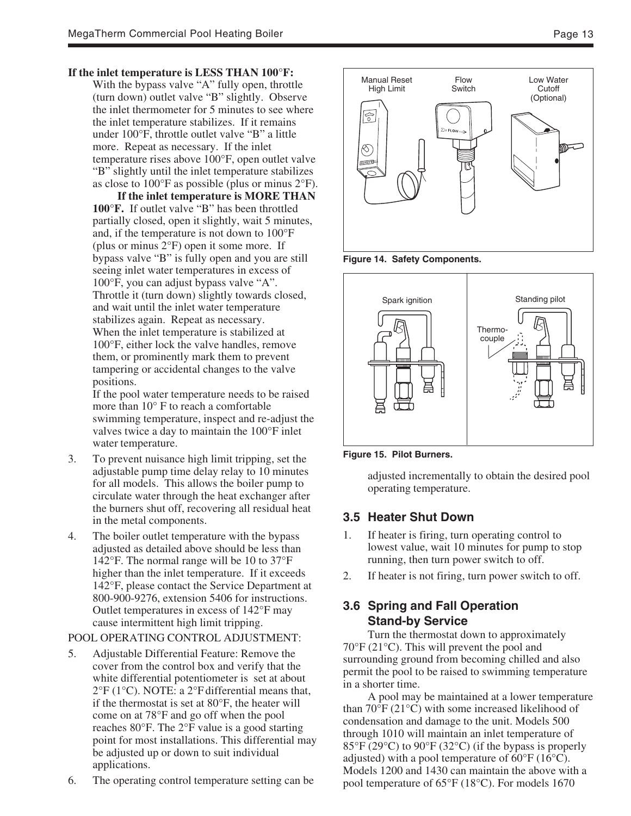#### **If the inlet temperature is LESS THAN 100°F:**

With the bypass valve "A" fully open, throttle (turn down) outlet valve "B" slightly. Observe the inlet thermometer for 5 minutes to see where the inlet temperature stabilizes. If it remains under 100°F, throttle outlet valve "B" a little more. Repeat as necessary. If the inlet temperature rises above 100°F, open outlet valve "B" slightly until the inlet temperature stabilizes as close to  $100^{\circ}$ F as possible (plus or minus  $2^{\circ}$ F).

**If the inlet temperature is MORE THAN 100°F.** If outlet valve "B" has been throttled partially closed, open it slightly, wait 5 minutes, and, if the temperature is not down to 100°F (plus or minus 2°F) open it some more. If bypass valve "B" is fully open and you are still seeing inlet water temperatures in excess of 100°F, you can adjust bypass valve "A". Throttle it (turn down) slightly towards closed, and wait until the inlet water temperature stabilizes again. Repeat as necessary. When the inlet temperature is stabilized at 100°F, either lock the valve handles, remove them, or prominently mark them to prevent tampering or accidental changes to the valve positions.

If the pool water temperature needs to be raised more than 10° F to reach a comfortable swimming temperature, inspect and re-adjust the valves twice a day to maintain the 100°F inlet water temperature.

- 3. To prevent nuisance high limit tripping, set the adjustable pump time delay relay to 10 minutes for all models. This allows the boiler pump to circulate water through the heat exchanger after the burners shut off, recovering all residual heat in the metal components.
- 4. The boiler outlet temperature with the bypass adjusted as detailed above should be less than 142°F. The normal range will be 10 to 37°F higher than the inlet temperature. If it exceeds 142°F, please contact the Service Department at 800-900-9276, extension 5406 for instructions. Outlet temperatures in excess of 142°F may cause intermittent high limit tripping.

#### POOL OPERATING CONTROL ADJUSTMENT:

- 5. Adjustable Differential Feature: Remove the cover from the control box and verify that the white differential potentiometer is set at about  $2^{\circ}F$  (1 $^{\circ}C$ ). NOTE: a 2 $^{\circ}F$  differential means that, if the thermostat is set at 80°F, the heater will come on at 78°F and go off when the pool reaches 80°F. The 2°F value is a good starting point for most installations. This differential may be adjusted up or down to suit individual applications.
- 6. The operating control temperature setting can be







**Figure 15. Pilot Burners.**

adjusted incrementally to obtain the desired pool operating temperature.

#### **3.5 Heater Shut Down**

- 1. If heater is firing, turn operating control to lowest value, wait 10 minutes for pump to stop running, then turn power switch to off.
- 2. If heater is not firing, turn power switch to off.

### **3.6 Spring and Fall Operation Stand-by Service**

Turn the thermostat down to approximately 70°F (21°C). This will prevent the pool and surrounding ground from becoming chilled and also permit the pool to be raised to swimming temperature in a shorter time.

A pool may be maintained at a lower temperature than 70°F (21°C) with some increased likelihood of condensation and damage to the unit. Models 500 through 1010 will maintain an inlet temperature of 85°F (29°C) to 90°F (32°C) (if the bypass is properly adjusted) with a pool temperature of 60°F (16°C). Models 1200 and 1430 can maintain the above with a pool temperature of 65°F (18°C). For models 1670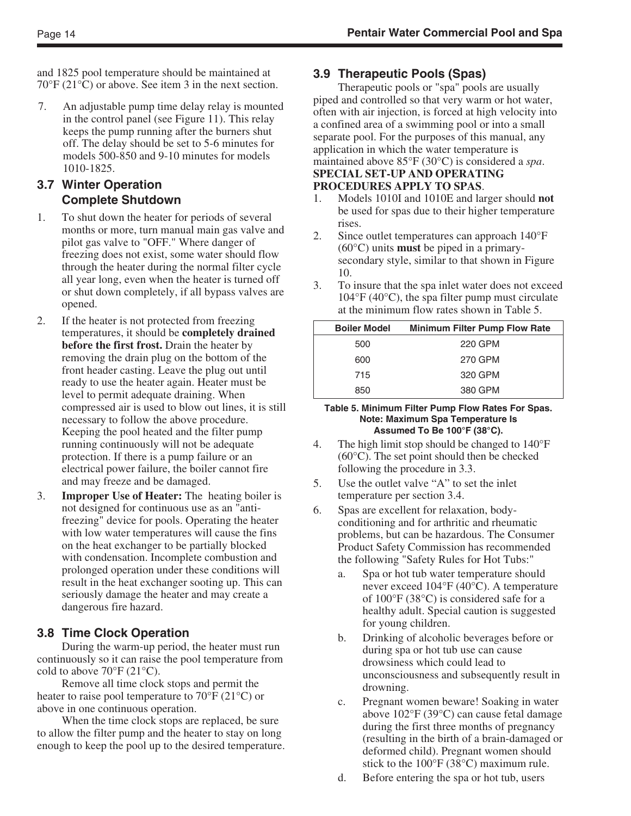and 1825 pool temperature should be maintained at 70°F (21°C) or above. See item 3 in the next section.

7. An adjustable pump time delay relay is mounted in the control panel (see Figure 11). This relay keeps the pump running after the burners shut off. The delay should be set to 5-6 minutes for models 500-850 and 9-10 minutes for models 1010-1825.

#### **3.7 Winter Operation Complete Shutdown**

- 1. To shut down the heater for periods of several months or more, turn manual main gas valve and pilot gas valve to "OFF." Where danger of freezing does not exist, some water should flow through the heater during the normal filter cycle all year long, even when the heater is turned off or shut down completely, if all bypass valves are opened.
- 2. If the heater is not protected from freezing temperatures, it should be **completely drained before the first frost.** Drain the heater by removing the drain plug on the bottom of the front header casting. Leave the plug out until ready to use the heater again. Heater must be level to permit adequate draining. When compressed air is used to blow out lines, it is still necessary to follow the above procedure. Keeping the pool heated and the filter pump running continuously will not be adequate protection. If there is a pump failure or an electrical power failure, the boiler cannot fire and may freeze and be damaged.
- 3. **Improper Use of Heater:** The heating boiler is not designed for continuous use as an "antifreezing" device for pools. Operating the heater with low water temperatures will cause the fins on the heat exchanger to be partially blocked with condensation. Incomplete combustion and prolonged operation under these conditions will result in the heat exchanger sooting up. This can seriously damage the heater and may create a dangerous fire hazard.

### **3.8 Time Clock Operation**

During the warm-up period, the heater must run continuously so it can raise the pool temperature from cold to above  $70^{\circ}$ F (21 $^{\circ}$ C).

Remove all time clock stops and permit the heater to raise pool temperature to 70°F (21°C) or above in one continuous operation.

When the time clock stops are replaced, be sure to allow the filter pump and the heater to stay on long enough to keep the pool up to the desired temperature.

### **3.9 Therapeutic Pools (Spas)**

Therapeutic pools or "spa" pools are usually piped and controlled so that very warm or hot water, often with air injection, is forced at high velocity into a confined area of a swimming pool or into a small separate pool. For the purposes of this manual, any application in which the water temperature is maintained above 85°F (30°C) is considered a *spa*. **SPECIAL SET-UP AND OPERATING PROCEDURES APPLY TO SPAS**.

- 1. Models 1010I and 1010E and larger should **not** be used for spas due to their higher temperature rises.
- 2. Since outlet temperatures can approach 140°F (60°C) units **must** be piped in a primarysecondary style, similar to that shown in Figure 10.
- 3. To insure that the spa inlet water does not exceed  $104^{\circ}$ F (40 $^{\circ}$ C), the spa filter pump must circulate at the minimum flow rates shown in Table 5.

| <b>Boiler Model</b> | <b>Minimum Filter Pump Flow Rate</b> |
|---------------------|--------------------------------------|
| 500                 | 220 GPM                              |
| 600                 | 270 GPM                              |
| 715                 | 320 GPM                              |
| 850                 | 380 GPM                              |

#### **Table 5. Minimum Filter Pump Flow Rates For Spas. Note: Maximum Spa Temperature Is Assumed To Be 100°F (38°C).**

- 4. The high limit stop should be changed to 140°F (60°C). The set point should then be checked following the procedure in 3.3.
- 5. Use the outlet valve "A" to set the inlet temperature per section 3.4.
- 6. Spas are excellent for relaxation, bodyconditioning and for arthritic and rheumatic problems, but can be hazardous. The Consumer Product Safety Commission has recommended the following "Safety Rules for Hot Tubs:"
	- a. Spa or hot tub water temperature should never exceed 104°F (40°C). A temperature of 100°F (38°C) is considered safe for a healthy adult. Special caution is suggested for young children.
	- b. Drinking of alcoholic beverages before or during spa or hot tub use can cause drowsiness which could lead to unconsciousness and subsequently result in drowning.
	- c. Pregnant women beware! Soaking in water above 102°F (39°C) can cause fetal damage during the first three months of pregnancy (resulting in the birth of a brain-damaged or deformed child). Pregnant women should stick to the 100°F (38°C) maximum rule.
	- d. Before entering the spa or hot tub, users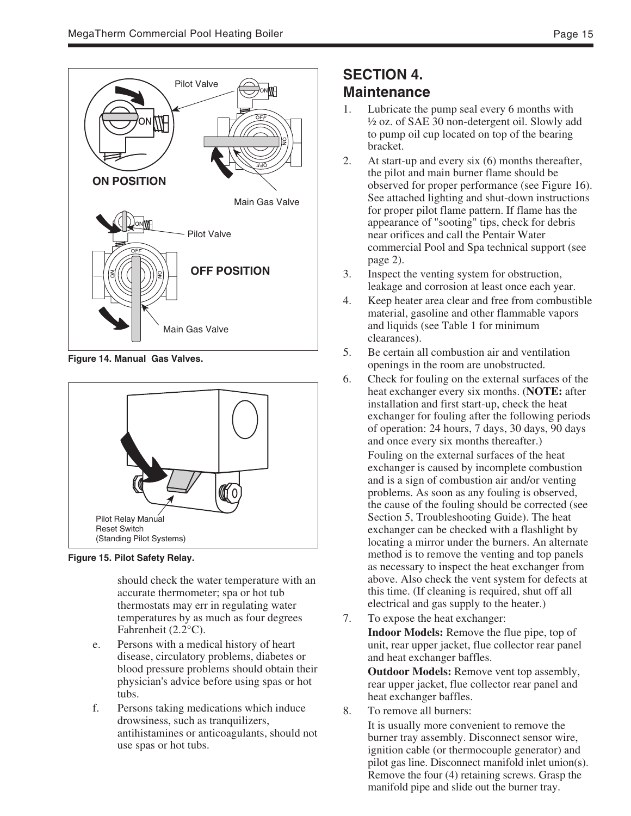

**Figure 14. Manual Gas Valves.**



**Figure 15. Pilot Safety Relay.**

should check the water temperature with an accurate thermometer; spa or hot tub thermostats may err in regulating water temperatures by as much as four degrees Fahrenheit (2.2°C).

- e. Persons with a medical history of heart disease, circulatory problems, diabetes or blood pressure problems should obtain their physician's advice before using spas or hot tubs.
- f. Persons taking medications which induce drowsiness, such as tranquilizers, antihistamines or anticoagulants, should not use spas or hot tubs.

# **SECTION 4. Maintenance**

- 1. Lubricate the pump seal every 6 months with ½ oz. of SAE 30 non-detergent oil. Slowly add to pump oil cup located on top of the bearing bracket.
- 2. At start-up and every six (6) months thereafter, the pilot and main burner flame should be observed for proper performance (see Figure 16). See attached lighting and shut-down instructions for proper pilot flame pattern. If flame has the appearance of "sooting" tips, check for debris near orifices and call the Pentair Water commercial Pool and Spa technical support (see page 2).
- 3. Inspect the venting system for obstruction, leakage and corrosion at least once each year.
- 4. Keep heater area clear and free from combustible material, gasoline and other flammable vapors and liquids (see Table 1 for minimum clearances).
- 5. Be certain all combustion air and ventilation openings in the room are unobstructed.
- 6. Check for fouling on the external surfaces of the heat exchanger every six months. (**NOTE:** after installation and first start-up, check the heat exchanger for fouling after the following periods of operation: 24 hours, 7 days, 30 days, 90 days and once every six months thereafter.)

Fouling on the external surfaces of the heat exchanger is caused by incomplete combustion and is a sign of combustion air and/or venting problems. As soon as any fouling is observed, the cause of the fouling should be corrected (see Section 5, Troubleshooting Guide). The heat exchanger can be checked with a flashlight by locating a mirror under the burners. An alternate method is to remove the venting and top panels as necessary to inspect the heat exchanger from above. Also check the vent system for defects at this time. (If cleaning is required, shut off all electrical and gas supply to the heater.)

7. To expose the heat exchanger: **Indoor Models:** Remove the flue pipe, top of unit, rear upper jacket, flue collector rear panel and heat exchanger baffles.

**Outdoor Models:** Remove vent top assembly, rear upper jacket, flue collector rear panel and heat exchanger baffles.

8. To remove all burners:

It is usually more convenient to remove the burner tray assembly. Disconnect sensor wire, ignition cable (or thermocouple generator) and pilot gas line. Disconnect manifold inlet union(s). Remove the four (4) retaining screws. Grasp the manifold pipe and slide out the burner tray.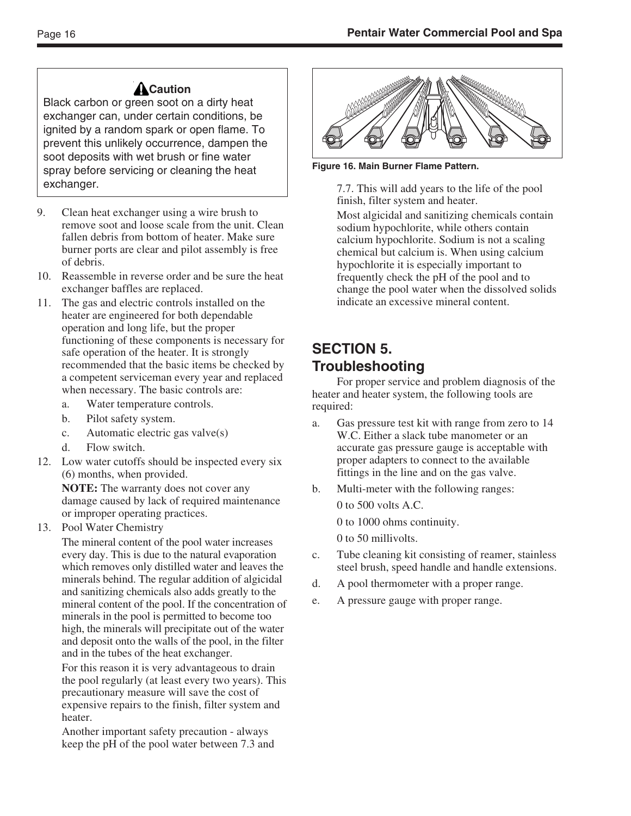# ACaution

Black carbon or green soot on a dirty heat exchanger can, under certain conditions, be ignited by a random spark or open flame. To prevent this unlikely occurrence, dampen the soot deposits with wet brush or fine water spray before servicing or cleaning the heat exchanger.

- 9. Clean heat exchanger using a wire brush to remove soot and loose scale from the unit. Clean fallen debris from bottom of heater. Make sure burner ports are clear and pilot assembly is free of debris.
- 10. Reassemble in reverse order and be sure the heat exchanger baffles are replaced.
- 11. The gas and electric controls installed on the heater are engineered for both dependable operation and long life, but the proper functioning of these components is necessary for safe operation of the heater. It is strongly recommended that the basic items be checked by a competent serviceman every year and replaced when necessary. The basic controls are:
	- a. Water temperature controls.
	- b. Pilot safety system.
	- c. Automatic electric gas valve(s)
	- d. Flow switch.
- 12. Low water cutoffs should be inspected every six (6) months, when provided.

**NOTE:** The warranty does not cover any damage caused by lack of required maintenance or improper operating practices.

13. Pool Water Chemistry

The mineral content of the pool water increases every day. This is due to the natural evaporation which removes only distilled water and leaves the minerals behind. The regular addition of algicidal and sanitizing chemicals also adds greatly to the mineral content of the pool. If the concentration of minerals in the pool is permitted to become too high, the minerals will precipitate out of the water and deposit onto the walls of the pool, in the filter and in the tubes of the heat exchanger.

For this reason it is very advantageous to drain the pool regularly (at least every two years). This precautionary measure will save the cost of expensive repairs to the finish, filter system and heater.

Another important safety precaution - always keep the pH of the pool water between 7.3 and



**Figure 16. Main Burner Flame Pattern.**

7.7. This will add years to the life of the pool finish, filter system and heater.

Most algicidal and sanitizing chemicals contain sodium hypochlorite, while others contain calcium hypochlorite. Sodium is not a scaling chemical but calcium is. When using calcium hypochlorite it is especially important to frequently check the pH of the pool and to change the pool water when the dissolved solids indicate an excessive mineral content.

# **SECTION 5. Troubleshooting**

For proper service and problem diagnosis of the heater and heater system, the following tools are required:

- a. Gas pressure test kit with range from zero to 14 W.C. Either a slack tube manometer or an accurate gas pressure gauge is acceptable with proper adapters to connect to the available fittings in the line and on the gas valve.
- b. Multi-meter with the following ranges:

0 to 500 volts A.C.

0 to 1000 ohms continuity.

0 to 50 millivolts.

- c. Tube cleaning kit consisting of reamer, stainless steel brush, speed handle and handle extensions.
- d. A pool thermometer with a proper range.
- e. A pressure gauge with proper range.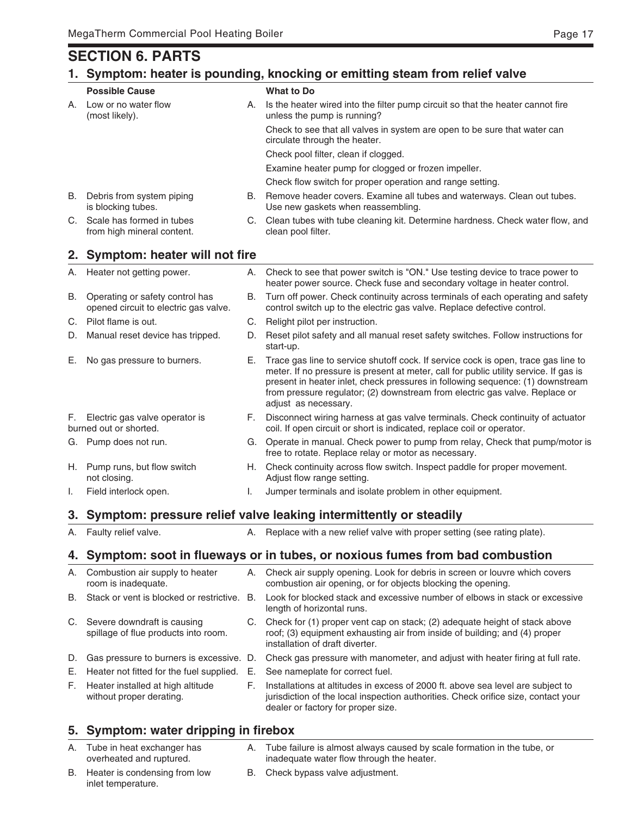# **SECTION 6. PARTS**

### **1. Symptom: heater is pounding, knocking or emitting steam from relief valve**

|      | <b>Possible Cause</b>                                                    |    | <b>What to Do</b>                                                                                                                                                                                                                                                                                                                                                    |
|------|--------------------------------------------------------------------------|----|----------------------------------------------------------------------------------------------------------------------------------------------------------------------------------------------------------------------------------------------------------------------------------------------------------------------------------------------------------------------|
| А.   | Low or no water flow<br>(most likely).                                   | А. | Is the heater wired into the filter pump circuit so that the heater cannot fire<br>unless the pump is running?                                                                                                                                                                                                                                                       |
|      |                                                                          |    | Check to see that all valves in system are open to be sure that water can<br>circulate through the heater.                                                                                                                                                                                                                                                           |
|      |                                                                          |    | Check pool filter, clean if clogged.                                                                                                                                                                                                                                                                                                                                 |
|      |                                                                          |    | Examine heater pump for clogged or frozen impeller.                                                                                                                                                                                                                                                                                                                  |
|      |                                                                          |    | Check flow switch for proper operation and range setting.                                                                                                                                                                                                                                                                                                            |
|      | B. Debris from system piping<br>is blocking tubes.                       |    | B. Remove header covers. Examine all tubes and waterways. Clean out tubes.<br>Use new gaskets when reassembling.                                                                                                                                                                                                                                                     |
| C.   | Scale has formed in tubes<br>from high mineral content.                  |    | C. Clean tubes with tube cleaning kit. Determine hardness. Check water flow, and<br>clean pool filter.                                                                                                                                                                                                                                                               |
| 2.   | <b>Symptom: heater will not fire</b>                                     |    |                                                                                                                                                                                                                                                                                                                                                                      |
| Α.   | Heater not getting power.                                                | А. | Check to see that power switch is "ON." Use testing device to trace power to<br>heater power source. Check fuse and secondary voltage in heater control.                                                                                                                                                                                                             |
| В.   | Operating or safety control has<br>opened circuit to electric gas valve. | В. | Turn off power. Check continuity across terminals of each operating and safety<br>control switch up to the electric gas valve. Replace defective control.                                                                                                                                                                                                            |
| C.   | Pilot flame is out.                                                      | C. | Relight pilot per instruction.                                                                                                                                                                                                                                                                                                                                       |
| D.   | Manual reset device has tripped.                                         | D. | Reset pilot safety and all manual reset safety switches. Follow instructions for<br>start-up.                                                                                                                                                                                                                                                                        |
| Е.   | No gas pressure to burners.                                              | Е. | Trace gas line to service shutoff cock. If service cock is open, trace gas line to<br>meter. If no pressure is present at meter, call for public utility service. If gas is<br>present in heater inlet, check pressures in following sequence: (1) downstream<br>from pressure regulator; (2) downstream from electric gas valve. Replace or<br>adjust as necessary. |
| F.   | Electric gas valve operator is<br>burned out or shorted.                 | F. | Disconnect wiring harness at gas valve terminals. Check continuity of actuator<br>coil. If open circuit or short is indicated, replace coil or operator.                                                                                                                                                                                                             |
| G.   | Pump does not run.                                                       |    | G. Operate in manual. Check power to pump from relay, Check that pump/motor is<br>free to rotate. Replace relay or motor as necessary.                                                                                                                                                                                                                               |
| H. . | Pump runs, but flow switch<br>not closing.                               |    | H. Check continuity across flow switch. Inspect paddle for proper movement.<br>Adjust flow range setting.                                                                                                                                                                                                                                                            |
| I.   | Field interlock open.                                                    | I. | Jumper terminals and isolate problem in other equipment.                                                                                                                                                                                                                                                                                                             |
| 3.   |                                                                          |    | Symptom: pressure relief valve leaking intermittently or steadily                                                                                                                                                                                                                                                                                                    |
| А.   | Faulty relief valve.                                                     |    | A. Replace with a new relief valve with proper setting (see rating plate).                                                                                                                                                                                                                                                                                           |
| 4.   |                                                                          |    | Symptom: soot in flueways or in tubes, or noxious fumes from bad combustion                                                                                                                                                                                                                                                                                          |
| А.   | Combustion air supply to heater<br>room is inadequate.                   |    | A. Check air supply opening. Look for debris in screen or louvre which covers<br>combustion air opening, or for objects blocking the opening.                                                                                                                                                                                                                        |
| В.   | Stack or vent is blocked or restrictive. B.                              |    | Look for blocked stack and excessive number of elbows in stack or excessive<br>length of horizontal runs.                                                                                                                                                                                                                                                            |
| C.   | Severe downdraft is causing<br>spillage of flue products into room.      |    | C. Check for (1) proper vent cap on stack; (2) adequate height of stack above<br>roof; (3) equipment exhausting air from inside of building; and (4) proper<br>installation of draft diverter.                                                                                                                                                                       |
| D.   | Gas pressure to burners is excessive. D.                                 |    | Check gas pressure with manometer, and adjust with heater firing at full rate.                                                                                                                                                                                                                                                                                       |
| Е.   | Heater not fitted for the fuel supplied.                                 | Ε. | See nameplate for correct fuel.                                                                                                                                                                                                                                                                                                                                      |
| F.   | Heater installed at high altitude<br>without proper derating.            | F. | Installations at altitudes in excess of 2000 ft. above sea level are subject to<br>jurisdiction of the local inspection authorities. Check orifice size, contact your<br>dealer or factory for proper size.                                                                                                                                                          |

### **5. Symptom: water dripping in firebox**

- A. Tube in heat exchanger has A. Tube failure is almost always caused by scale formation in the tube, or overheated and ruptured. inadequate water flow through the heater.
- B. Heater is condensing from low B. Check bypass valve adjustment. inlet temperature.
-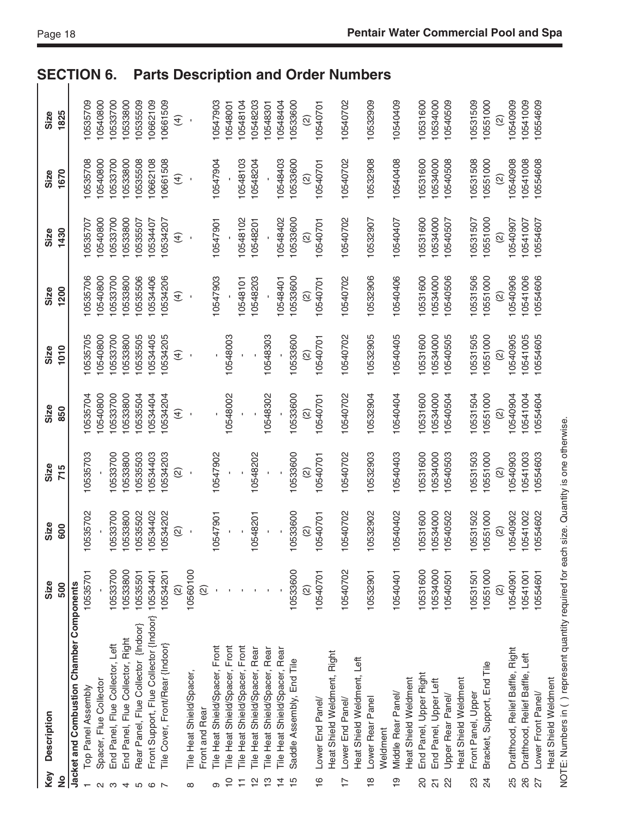| <b>SECTION</b>       |                                                                |                        | 6.                              |                                  |                                     | <b>Parts</b>                                    |                                 |                          |                                 |                    |                                |                                |                                |                               |                                      |                                      |                           |                     |                  |                             |                  |                            | <b>Description and Order Numbers</b> |          |                    |                      |                        |                          |                  |                      |                    |                            |                     |                                 |                                |                    |                      |
|----------------------|----------------------------------------------------------------|------------------------|---------------------------------|----------------------------------|-------------------------------------|-------------------------------------------------|---------------------------------|--------------------------|---------------------------------|--------------------|--------------------------------|--------------------------------|--------------------------------|-------------------------------|--------------------------------------|--------------------------------------|---------------------------|---------------------|------------------|-----------------------------|------------------|----------------------------|--------------------------------------|----------|--------------------|----------------------|------------------------|--------------------------|------------------|----------------------|--------------------|----------------------------|---------------------|---------------------------------|--------------------------------|--------------------|----------------------|
| 1825<br>Size         | 10535709                                                       | 0540800                | 10533700                        | 10533800                         | 10535509                            | 10662109                                        | 10661509                        | $\hat{t}$                |                                 |                    | 10547903                       | 10548001                       | 10548104                       | 0548203                       | 10548301                             | 10548404                             | 10533600                  |                     | 10540701         |                             | 10540702         |                            | 10532909                             |          | 10540409           | 10531600             |                        | 0534000                  | 10540509         |                      | 10531509           | 10551000                   | $\widehat{\omega}$  | 10540909                        | 10541009                       | 10554609           |                      |
| 1670<br>Size         | 10535708                                                       | 10540800               | 10533700                        | 10533800                         | 10535508                            | 10662108                                        | 10661508                        | E)                       |                                 |                    | 10547904                       |                                | 10548103                       | 10548204                      |                                      | 10548403                             | 10533600                  | $\widehat{\omega}$  | 10540701         |                             | 10540702         |                            | 10532908                             |          | 10540408           | 10531600             |                        | 10534000                 | 10540508         |                      | 10531508           | 10551000                   | ତ୍ର                 | 10540908                        | 10541008                       | 10554608           |                      |
| 1430<br>Size         | 10535707                                                       | 10540800               | 10533700                        | 10533800                         | 10535507                            | 10534407                                        | 10534207                        | $\widehat{\mathcal{A}}$  |                                 |                    | 10547901                       |                                | 10548102                       | 10548201                      |                                      | 10548402                             | 10533600                  |                     | 10540701         |                             | 10540702         |                            | 10532907                             |          | 10540407           |                      | 10531600               | 10534000                 | 10540507         |                      | 10531507           | 10551000                   | ତ୍ର                 | 10540907                        | 10541007                       | 10554607           |                      |
| 1200<br>Size         | 0535706                                                        | 0540800                | 0533700                         | 10533800                         | 0535506                             | 0534406                                         | 10534206                        | $\widehat{t}$            |                                 |                    | 10547903                       |                                | 10548101                       | 10548203                      |                                      | 10548401                             | 10533600                  | $\widehat{\infty}$  | 10540701         |                             | 10540702         |                            | 10532906                             |          | 10540406           | 10531600             |                        | 10534000                 | 10540506         |                      | 10531506           | 10551000                   | $\widehat{\varrho}$ | 10540906                        | 10541006                       | 10554606           |                      |
| 1010<br>Size         | 0535705                                                        | 0540800                | 0533700                         | 10533800                         | 10535505                            | 0534405                                         | 0534205                         | $\widehat{\mathcal{A}}$  |                                 |                    |                                | 10548003                       |                                |                               | 10548303                             |                                      | 10533600                  |                     | 10540701         |                             | 10540702         |                            | 10532905                             |          | 10540405           | 10531600             |                        | 0534000                  | 10540505         |                      | 10531505           | 10551000                   | ହି                  | 10540905                        | 0541005                        | 10554605           |                      |
| Size<br>850          | 0535704                                                        | 10540800               | 10533700                        | 10533800                         | 10535504                            | 10534404                                        | 10534204                        | E)                       |                                 |                    |                                | 10548002                       |                                |                               | 10548302                             |                                      | 10533600                  | $\widehat{\varrho}$ | 10540701         |                             | 10540702         |                            | 10532904                             |          | 10540404           | 10531600             |                        | 10534000                 | 10540504         |                      | 10531504           | 10551000                   | ତ୍ର                 | 10540904                        | 10541004                       | 10554604           |                      |
| Size<br>715          | 10535703                                                       |                        | 10533700                        | 10533800                         | 10535503                            | 0534403                                         | 0534203                         | $\widehat{\omega}$       |                                 |                    | 10547902                       |                                |                                | 10548202                      |                                      |                                      | 10533600                  |                     | 10540701         |                             | 10540702         |                            | 10532903                             |          | 10540403           |                      | 10531600               | 10534000                 | 10540503         |                      | 10531503           | 10551000                   | $\widehat{\varrho}$ | 10540903                        | 0541003                        | 10554603           |                      |
| Size<br>600          | 10535702                                                       |                        | 10533700                        | 10533800                         | 10535502                            | 10534402                                        | 10534202                        | $\widehat{\infty}$       |                                 |                    | 10547901                       |                                |                                | 10548201                      |                                      |                                      | 10533600                  | $\widehat{2}$       | 10540701         |                             | 10540702         |                            | 10532902                             |          | 10540402           |                      | 10531600               | 10534000                 | 10540502         |                      | 10531502           | 10551000                   | $\widehat{2}$       | 10540902                        | 10541002                       | 10554602           |                      |
| Size<br>500          | 10535701                                                       |                        | 10533700                        | 10533800                         | 10535501                            |                                                 | 10534201                        | $\widehat{\mathfrak{D}}$ | 10560100                        | $\widehat{\infty}$ |                                |                                |                                |                               |                                      |                                      | 10533600                  |                     | 10540701         |                             | 10540702         |                            | 10532901                             |          | 10540401           |                      | 10531600               | 10534000                 | 10540501         |                      | 10531501           | 10551000                   | $\widehat{\omega}$  | 10540901                        | 10541001                       | 10554601           |                      |
| <b>Description</b>   | Jacket and Combustion Chamber Components<br>Top Panel Assembly | Spacer, Flue Collector | End Panel, Flue Collector, Left | End Panel, Flue Collector, Right | Rear Panel, Flue Collector {Indoor} | Front Support, Flue Collector {Indoor} 10534401 | Tile Cover, Front/Rear {Indoor} |                          | <b>Tile Heat Shield/Spacer,</b> | Front and Rear     | Tile Heat Shield/Spacer, Front | Tile Heat Shield/Spacer, Front | Tile Heat Shield/Spacer, Front | Tile Heat Shield/Spacer, Rear | <b>Tile Heat Shield/Spacer, Rear</b> | <b>Tile Heat Shield/Spacer, Rear</b> | Saddle Assembly, End Tile |                     | Lower End Panel/ | Heat Shield Weldment, Right | Lower End Panel/ | Heat Shield Weldment, Left | Lower Rear Panel                     | Weldment | Middle Rear Panel/ | Heat Shield Weldment | End Panel, Upper Right | End Panel, Upper Left    | Upper Rear Panel | Heat Shield Weldment | Front Panel, Upper | Bracket, Support, End Tile |                     | Drafthood, Relief Baffle, Right | Drafthood, Relief Baffle, Left | Lower Front Panel/ | Heat Shield Weldment |
| Key<br>$\frac{1}{2}$ |                                                                | $\sim$                 | ო                               | 4                                | S                                   | $\circ$ $\sim$                                  |                                 |                          | ∞                               |                    | Φ                              | $\overline{C}$                 | $\overline{1}$                 | $\frac{1}{2}$                 | $\frac{1}{2}$                        | $\overline{4}$                       | $\overline{1}$            |                     | $\frac{6}{1}$    |                             | $\overline{1}$   |                            | $\frac{\infty}{\infty}$              |          | စ္                 |                      | S                      | $\overline{\mathcal{S}}$ | 22               |                      | 23                 | $\overline{2}$             |                     | 25                              | 26                             | 27                 |                      |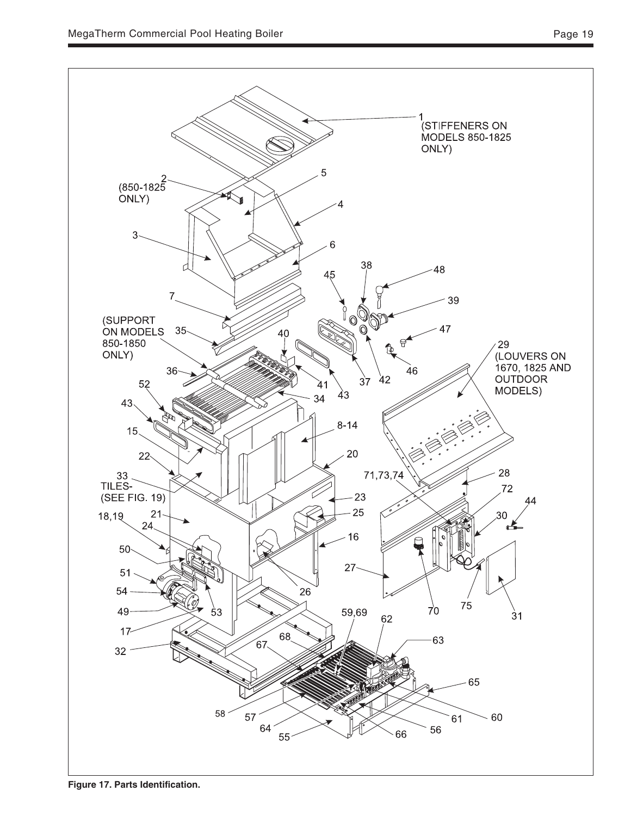

**Figure 17. Parts Identification.**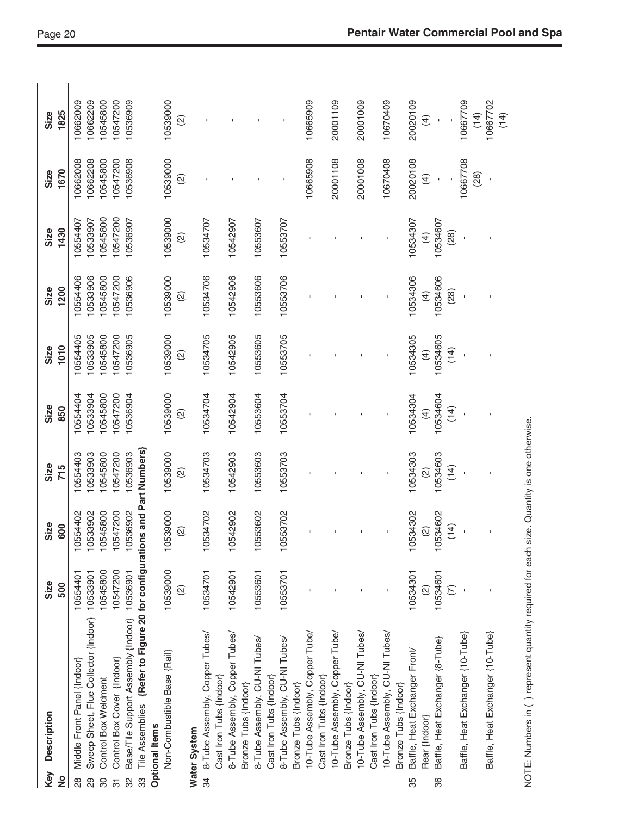| Size<br>600                                                | Size<br>715 | Size<br>850                                                                                                                                                                                                                                                             | 1010<br>Size                                                                                                                                                                                                                                                                           | 1200<br>Size                                                                                                                                            | 1430<br>Size                                                                                                                 | 1670<br>Size                                                                                                            | 1825<br>Size                                                                                    |
|------------------------------------------------------------|-------------|-------------------------------------------------------------------------------------------------------------------------------------------------------------------------------------------------------------------------------------------------------------------------|----------------------------------------------------------------------------------------------------------------------------------------------------------------------------------------------------------------------------------------------------------------------------------------|---------------------------------------------------------------------------------------------------------------------------------------------------------|------------------------------------------------------------------------------------------------------------------------------|-------------------------------------------------------------------------------------------------------------------------|-------------------------------------------------------------------------------------------------|
| 10533902<br>10554402                                       |             |                                                                                                                                                                                                                                                                         | 0533905<br>10554405                                                                                                                                                                                                                                                                    | 10554406<br>0533906                                                                                                                                     | 10533907<br>10554407                                                                                                         | 10662208<br>10662008                                                                                                    | 10662209<br>10662009                                                                            |
| 10545800                                                   |             |                                                                                                                                                                                                                                                                         | 0545800                                                                                                                                                                                                                                                                                | 0545800                                                                                                                                                 | 10545800                                                                                                                     | 10545800                                                                                                                | 10545800                                                                                        |
| 10547200                                                   |             |                                                                                                                                                                                                                                                                         |                                                                                                                                                                                                                                                                                        |                                                                                                                                                         |                                                                                                                              |                                                                                                                         | 10547200                                                                                        |
| 10536902                                                   |             |                                                                                                                                                                                                                                                                         |                                                                                                                                                                                                                                                                                        |                                                                                                                                                         |                                                                                                                              |                                                                                                                         | 10536909                                                                                        |
|                                                            |             |                                                                                                                                                                                                                                                                         |                                                                                                                                                                                                                                                                                        |                                                                                                                                                         |                                                                                                                              |                                                                                                                         |                                                                                                 |
|                                                            |             |                                                                                                                                                                                                                                                                         |                                                                                                                                                                                                                                                                                        |                                                                                                                                                         |                                                                                                                              |                                                                                                                         |                                                                                                 |
| 10539000                                                   |             |                                                                                                                                                                                                                                                                         |                                                                                                                                                                                                                                                                                        |                                                                                                                                                         |                                                                                                                              |                                                                                                                         | 10539000<br>$\widehat{\infty}$                                                                  |
|                                                            |             |                                                                                                                                                                                                                                                                         |                                                                                                                                                                                                                                                                                        |                                                                                                                                                         |                                                                                                                              |                                                                                                                         |                                                                                                 |
| 10534702                                                   |             |                                                                                                                                                                                                                                                                         |                                                                                                                                                                                                                                                                                        |                                                                                                                                                         |                                                                                                                              |                                                                                                                         |                                                                                                 |
|                                                            |             |                                                                                                                                                                                                                                                                         |                                                                                                                                                                                                                                                                                        |                                                                                                                                                         |                                                                                                                              |                                                                                                                         |                                                                                                 |
| 10542902                                                   |             |                                                                                                                                                                                                                                                                         |                                                                                                                                                                                                                                                                                        | 10542906                                                                                                                                                | 10542907                                                                                                                     |                                                                                                                         |                                                                                                 |
|                                                            |             |                                                                                                                                                                                                                                                                         |                                                                                                                                                                                                                                                                                        |                                                                                                                                                         |                                                                                                                              |                                                                                                                         |                                                                                                 |
|                                                            |             |                                                                                                                                                                                                                                                                         |                                                                                                                                                                                                                                                                                        |                                                                                                                                                         |                                                                                                                              |                                                                                                                         |                                                                                                 |
| 10553702                                                   |             |                                                                                                                                                                                                                                                                         |                                                                                                                                                                                                                                                                                        | 10553706                                                                                                                                                | 10553707                                                                                                                     |                                                                                                                         |                                                                                                 |
|                                                            |             |                                                                                                                                                                                                                                                                         |                                                                                                                                                                                                                                                                                        |                                                                                                                                                         |                                                                                                                              |                                                                                                                         |                                                                                                 |
|                                                            |             |                                                                                                                                                                                                                                                                         |                                                                                                                                                                                                                                                                                        |                                                                                                                                                         |                                                                                                                              | 10665908                                                                                                                | 10665909                                                                                        |
|                                                            |             |                                                                                                                                                                                                                                                                         |                                                                                                                                                                                                                                                                                        |                                                                                                                                                         |                                                                                                                              |                                                                                                                         |                                                                                                 |
|                                                            |             |                                                                                                                                                                                                                                                                         |                                                                                                                                                                                                                                                                                        |                                                                                                                                                         |                                                                                                                              | 20001108                                                                                                                | 20001109                                                                                        |
|                                                            |             |                                                                                                                                                                                                                                                                         |                                                                                                                                                                                                                                                                                        |                                                                                                                                                         |                                                                                                                              |                                                                                                                         |                                                                                                 |
|                                                            |             |                                                                                                                                                                                                                                                                         |                                                                                                                                                                                                                                                                                        |                                                                                                                                                         |                                                                                                                              | 20001008                                                                                                                | 20001009                                                                                        |
|                                                            |             |                                                                                                                                                                                                                                                                         |                                                                                                                                                                                                                                                                                        |                                                                                                                                                         |                                                                                                                              |                                                                                                                         |                                                                                                 |
|                                                            |             |                                                                                                                                                                                                                                                                         |                                                                                                                                                                                                                                                                                        |                                                                                                                                                         |                                                                                                                              |                                                                                                                         | 10670409                                                                                        |
|                                                            |             |                                                                                                                                                                                                                                                                         |                                                                                                                                                                                                                                                                                        |                                                                                                                                                         |                                                                                                                              |                                                                                                                         |                                                                                                 |
| 10534302                                                   |             |                                                                                                                                                                                                                                                                         |                                                                                                                                                                                                                                                                                        |                                                                                                                                                         |                                                                                                                              |                                                                                                                         | 20020109                                                                                        |
|                                                            |             |                                                                                                                                                                                                                                                                         |                                                                                                                                                                                                                                                                                        |                                                                                                                                                         |                                                                                                                              |                                                                                                                         | $\widehat{4}$                                                                                   |
| 10534602                                                   |             |                                                                                                                                                                                                                                                                         |                                                                                                                                                                                                                                                                                        |                                                                                                                                                         |                                                                                                                              |                                                                                                                         |                                                                                                 |
| (14)                                                       |             |                                                                                                                                                                                                                                                                         |                                                                                                                                                                                                                                                                                        |                                                                                                                                                         | (28)                                                                                                                         |                                                                                                                         |                                                                                                 |
|                                                            |             |                                                                                                                                                                                                                                                                         |                                                                                                                                                                                                                                                                                        |                                                                                                                                                         |                                                                                                                              | 10667708                                                                                                                | 10667709                                                                                        |
|                                                            |             |                                                                                                                                                                                                                                                                         |                                                                                                                                                                                                                                                                                        |                                                                                                                                                         |                                                                                                                              | (28)                                                                                                                    | (14)                                                                                            |
|                                                            |             |                                                                                                                                                                                                                                                                         |                                                                                                                                                                                                                                                                                        |                                                                                                                                                         |                                                                                                                              |                                                                                                                         | 10667702<br>(14)                                                                                |
|                                                            |             |                                                                                                                                                                                                                                                                         |                                                                                                                                                                                                                                                                                        |                                                                                                                                                         |                                                                                                                              |                                                                                                                         |                                                                                                 |
|                                                            |             |                                                                                                                                                                                                                                                                         |                                                                                                                                                                                                                                                                                        |                                                                                                                                                         |                                                                                                                              |                                                                                                                         |                                                                                                 |
| 10553602<br>$\widehat{2}$<br>$\textcircled{\scriptsize 2}$ |             | Tile Assemblies {Refer to Figure 20 for configurations and Part Numbers}<br>10533903<br>10545800<br>10547200<br>10536903<br>10534303<br>10554403<br>10539000<br>10534703<br>10534603<br>10542903<br>10553603<br>10553703<br>(14)<br>$\widehat{2}$<br>$\widehat{\omega}$ | 10539000<br>10534304<br>10533904<br>10545800<br>10547200<br>10536904<br>10534704<br>10534604<br>10554404<br>10542904<br>10553704<br>10553604<br>(14)<br>$\bigoplus$<br>$\widehat{\omega}$<br>NOTE: Numbers in () represent quantity required for each size. Quantity is one otherwise. | 10539000<br>10534305<br>10547200<br>10536905<br>10534705<br>10542905<br>10553605<br>10534605<br>10553705<br>(14)<br>$\widehat{f}$<br>$\widehat{\omega}$ | 10534306<br>10539000<br>10534706<br>10553606<br>10534606<br>0547200<br>10536906<br>(28)<br>$\bigoplus$<br>$\widehat{\omega}$ | 10547200<br>10539000<br>10534307<br>10536907<br>10534707<br>10534607<br>10553607<br>$\widehat{4}$<br>$\widehat{\omega}$ | 10539000<br>10670408<br>20020108<br>10547200<br>10536908<br>$\widehat{4}$<br>$\widehat{\omega}$ |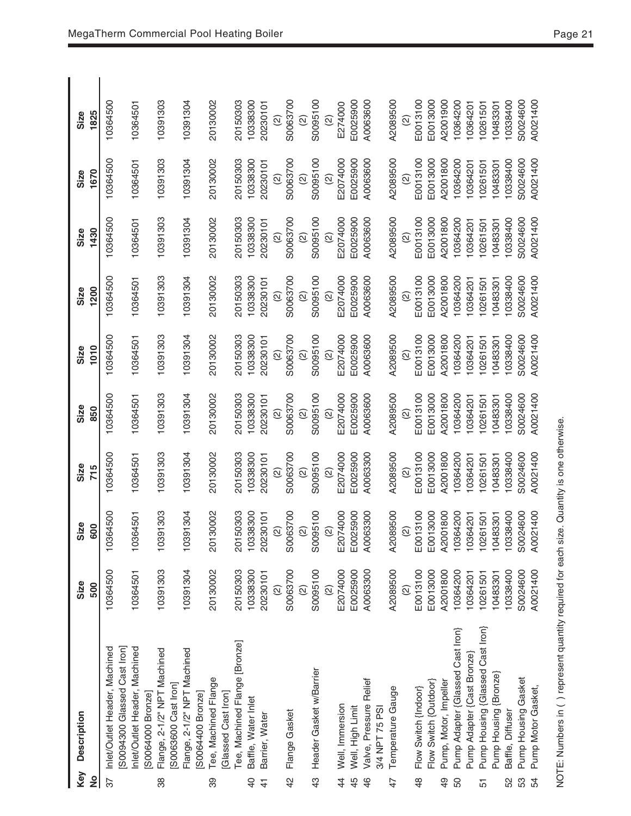| Key            | <b>Description</b>                                                                        | Size                           | Size                      | Size                                | Size                           | Size                           | Size                               | Size                          | Size                           | Size                           |
|----------------|-------------------------------------------------------------------------------------------|--------------------------------|---------------------------|-------------------------------------|--------------------------------|--------------------------------|------------------------------------|-------------------------------|--------------------------------|--------------------------------|
| ş              |                                                                                           | 500                            | 600                       | 715                                 | 850                            | 1010                           | 1200                               | 1430                          | 1670                           | 1825                           |
| 37             | S0094300 Glassed Cast Iron]<br>Inlet/Outlet Header, Machined                              | 10364500                       | 10364500                  | 10364500                            | 10364500                       | 10364500                       | 10364500                           | 10364500                      | 10364500                       | 10364500                       |
|                | nlet/Outlet Header, Machined<br>S0064000 Bronze]                                          | 10364501                       | 10364501                  | 10364501                            | 10364501                       | 10364501                       | 10364501                           | 10364501                      | 10364501                       | 10364501                       |
| 88             | Flange, 2-1/2" NPT Machined<br>S0063600 Cast Iron]                                        | 10391303                       | 10391303                  | 10391303                            | 10391303                       | 10391303                       | 10391303                           | 10391303                      | 10391303                       | 10391303                       |
|                | Flange, 2-1/2" NPT Machined<br>S0064400 Bronze]                                           | 10391304                       | 10391304                  | 10391304                            | 10391304                       | 10391304                       | 10391304                           | 10391304                      | 10391304                       | 10391304                       |
| 89             | Tee, Machined Flange<br>Glassed Cast Iron]                                                | 20130002                       | 30002<br>$\overline{201}$ | 20130002                            | 20130002                       | 20130002                       | 20130002                           | 20130002                      | 20130002                       | 20130002                       |
|                | Tee, Machined Flange [Bronze]                                                             | 20150303                       | 50303<br>$\overline{201}$ | 20150303                            | 20150303                       | 20150303                       | 20150303                           | 20150303                      | 20150303                       | 20150303                       |
| $\overline{a}$ | Baffle, Water Inlet                                                                       | 10338300                       | 10338300                  | 10338300                            | 10338300                       | 10338300                       | 10338300                           | 10338300                      | 10338300                       | 10338300                       |
| $\frac{4}{3}$  | Barrier, Water                                                                            | 20230101                       | 20230101                  | 20230101                            | 20230101                       | 20230101                       | 20230101                           | 20230101                      | 20230101                       | 20230101                       |
| $\overline{4}$ |                                                                                           | S0063700<br>$\widehat{\omega}$ | S0063700<br>$\widehat{2}$ | S0063700<br>$\widehat{\varnothing}$ | S0063700<br>$\widehat{\omega}$ | S0063700<br>$\widehat{a}$      | S0063700<br>$\widehat{\text{(2)}}$ | S0063700<br>$\widehat{\odot}$ | S0063700<br>$\circledcirc$     | S0063700<br>$\widehat{a}$      |
|                | Flange Gasket                                                                             | $\widehat{\infty}$             | $\widehat{\omega}$        | $\widehat{\omega}$                  | $\widehat{\omega}$             | $\widehat{\omega}$             | $\widehat{\omega}$                 | $\widehat{\omega}$            | $\widehat{\omega}$             | $\widehat{\omega}$             |
| $\frac{3}{4}$  | Header Gasket w/Barrier                                                                   | S0095100<br>$\widehat{\omega}$ | S0095100<br>$\widehat{2}$ | S0095100<br>$\widehat{a}$           | S0095100<br>$\widehat{\omega}$ | S0095100<br>$\widehat{\omega}$ | S0095100<br>$\widehat{\omega}$     | S0095100<br>$\widehat{a}$     | S0095100<br>$\widehat{\omega}$ | S0095100<br>$\widehat{\omega}$ |
| 4              | Well, Immersion                                                                           | E2074000                       | E2074000                  | E2074000                            | E2074000                       | E2074000                       | E2074000                           | E2074000                      | E2074000                       | E274000                        |
| $\frac{4}{5}$  | Well, High Limit                                                                          | E0025900                       | E0025900                  | E0025900                            | E0025900                       | E0025900                       | E0025900                           | E0025900                      | E0025900                       | E0025900                       |
| $\frac{6}{5}$  | Valve, Pressure Relief                                                                    | A0063300                       | A0063300                  | A0063300                            | A0063600                       | A0063600                       | A0063600                           | A0063600                      | A0063600                       | A0063600                       |
|                | 3/4 NPT 75 PSI                                                                            |                                |                           |                                     |                                |                                |                                    |                               |                                |                                |
| 47             | Temperature Gauge                                                                         | A2089500                       | A2089500                  | A2089500                            | A2089500                       | A2089500                       | A2089500                           | A2089500                      | A2089500                       | A2089500                       |
| $\frac{8}{4}$  | Flow Switch {Indoor}                                                                      | E0013100<br>Q                  | E0013100<br>$\widehat{2}$ | E0013100                            | E0013100                       | E0013100<br>$\widehat{\omega}$ | E0013100                           | E0013100                      | E0013100                       | E0013100                       |
|                | Flow Switch (Outdoor)                                                                     | E0013000                       | E0013000                  | E0013000                            | E0013000                       | E0013000                       | E0013000                           | E0013000                      | E0013000                       | E0013000                       |
| 9              | Pump, Motor, Impeller                                                                     | A2001800                       | A2001800                  | A2001800                            | A2001800                       | A2001800                       | A2001800                           | A2001800                      | A2001800                       | A2001900                       |
| 50             | Pump Adapter {Glassed Cast Iron}                                                          | 10364200                       | 10364200                  | 10364200                            | 10364200                       | 10364200                       | 10364200                           | 10364200                      | 10364200                       | 10364200                       |
|                | Pump Adapter {Cast Bronze}                                                                | 0364201                        | 10364201                  | 10364201                            | 10364201                       | 10364201                       | 10364201                           | 10364201                      | 10364201                       | 10364201                       |
| 5              | Pump Housing {Glassed Cast Iron}                                                          | 10261501                       | 10261501                  | 0261501                             | 10261501                       | 10261501                       | 10261501                           | 10261501                      | 10261501                       | 10261501                       |
|                | Pump Housing {Bronze}                                                                     | 0483301                        | 10483301                  | 0483301                             | 10483301                       | 10483301                       | 10483301                           | 10483301                      | 10483301                       | 10483301                       |
| S2             | Baffle, Diffuser                                                                          | 0338400                        | 10338400                  | 10338400                            | 10338400                       | 10338400                       | 10338400                           | 10338400                      | 10338400                       | 10338400                       |
| S3             | Pump Housing Gasket                                                                       | S0024600                       | S0024600                  | 50024600                            | S0024600                       | 50024600                       | S0024600                           | 50024600                      | S0024600                       | S0024600                       |
| 54             | Pump Motor Gasket,                                                                        | A0021400                       | A0021400                  | A0021400                            | A0021400                       | A0021400                       | A0021400                           | A0021400                      | A0021400                       | A0021400                       |
|                | NOTE: Numbers in () represent quantity required for each size. Quantity is one otherwise. |                                |                           |                                     |                                |                                |                                    |                               |                                |                                |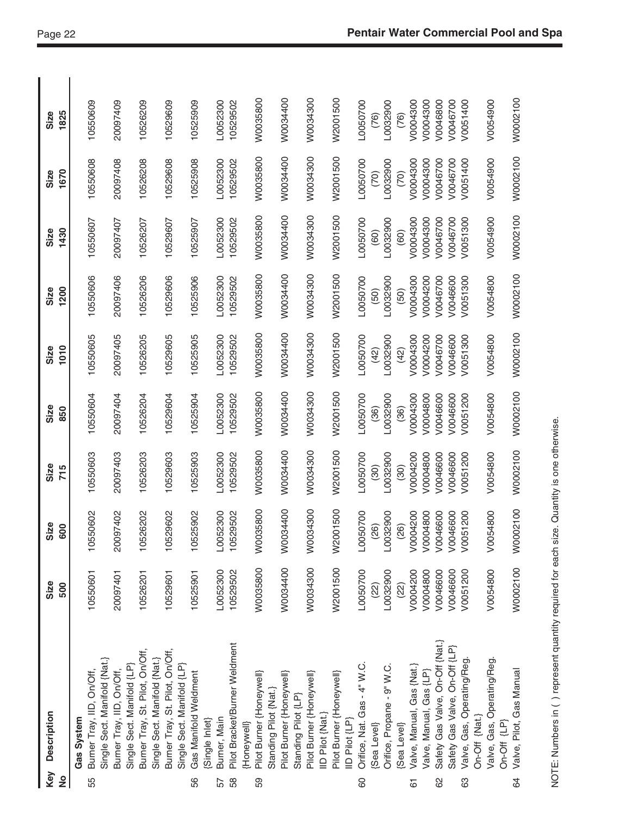| Key<br>$\frac{1}{2}$ | Description                                                                               | Size<br>500          | Size<br>600          | Size<br>715          | Size<br>850          | 1010<br>Size         | 1200<br>Size         | 1430<br>Size         | 1670<br>Size         | 1825<br>Size         |
|----------------------|-------------------------------------------------------------------------------------------|----------------------|----------------------|----------------------|----------------------|----------------------|----------------------|----------------------|----------------------|----------------------|
| 55                   | Burner Tray, IID, On/Off,<br>Gas System                                                   | 10550601             | 10550602             | 10550603             | 10550604             | 10550605             | 10550606             | 10550607             | 10550608             | 10550609             |
|                      | Single Sect. Manifold {Nat.}<br>Single Sect. Manifold {LP}<br>Burner Tray, IID, On/Off,   | 20097401             | 20097402             | 20097403             | 20097404             | 20097405             | 20097406             | 20097407             | 20097408             | 20097409             |
|                      | Burner Tray, St. Pilot, On/Off,<br>Single Sect. Manifold {Nat.}                           | 10526201             | 10526202             | 10526203             | 10526204             | 10526205             | 10526206             | 10526207             | 10526208             | 10526209             |
|                      | Burner Tray, St. Pilot, On/Off,<br>Single Sect. Manifold {LP}                             | 10529601             | 10529602             | 10529603             | 10529604             | 10529605             | 10529606             | 10529607             | 10529608             | 10529609             |
| 56                   | Gas Manifold Weldment                                                                     | 10525901             | 10525902             | 10525903             | 10525904             | 10525905             | 10525906             | 10525907             | 10525908             | 10525909             |
| 57                   | Burner, Main<br>(Single Inlet)                                                            | L0052300             | L0052300             | L0052300             | L0052300             | L0052300             | L0052300             | L0052300             | L0052300             | L0052300             |
| 58                   | Pilot Bracket/Burner Weldment                                                             | 10529502             | 10529502             | 10529502             | 10529502             | 10529502             | 10529502             | 10529502             | 10529502             | 10529502             |
| 59                   | Pilot Burner {Honeywell}<br>Standing Pilot {Nat.}<br>[Honeywell]                          | W0035800             | 035800<br>S          | W0035800             | W0035800             | W0035800             | W0035800             | W0035800             | W0035800             | W0035800             |
|                      | Pilot Burner {Honeywell}<br>Standing Pilot {LP}                                           | W0034400             | 034400<br>$\approx$  | W0034400             | W0034400             | W0034400             | W0034400             | W0034400             | W0034400             | W0034400             |
|                      | Pilot Burner {Honeywell}<br>IID Pilot {Nat.}                                              | W0034300             | 034300<br>S          | W0034300             | W0034300             | W0034300             | W0034300             | W0034300             | W0034300             | W0034300             |
|                      | Pilot Burner {Honeywell}<br>IID Pilot {LP}                                                | W2001500             | W2001500             | W2001500             | W2001500             | W2001500             | W2001500             | W2001500             | W2001500             | W2001500             |
| 60                   | Orifice, Nat. Gas - 4" W.C.                                                               | L0050700             | L0050700             | L0050700             | L0050700             | L0050700             | L0050700             | L0050700             | L0050700             | L0050700             |
|                      | Orifice, Propane - 9" W.C.<br>(Sea Level)                                                 | L0032900<br>(22)     | L0032900<br>(26)     | L0032900<br>(30)     | L0032900<br>(36)     | L0032900<br>(42)     | L0032900<br>(50)     | L0032900<br>(60)     | L0032900<br>(70)     | L0032900<br>(76)     |
|                      | {Sea Level}                                                                               | (22)                 | (26)                 | (30)                 | (36)                 | (42)                 | (50)                 | (60)                 | (70)                 | (76)                 |
| 67                   | Valve, Manual, Gas {Nat.}                                                                 | V0004200             | V0004200             | V0004200             | V0004300             | V0004300             | V0004300             | V0004300             | V0004300             | V0004300             |
| 8                    | Safety Gas Valve, On-Off {Nat.}<br>Valve, Manual, Gas {LP}                                | V0004800<br>V0046600 | V0004800<br>V0046600 | V0004800<br>V0046600 | V0004800<br>V0046600 | V0004200<br>V0046700 | V0004200<br>V0046700 | V0004300<br>V0046700 | V0004300<br>V0046700 | V0004300<br>V0046800 |
|                      | Safety Gas Valve, On-Off {LP}                                                             | V0046600             | V0046600             | V0046600             | V0046600             | V0046600             | V0046600             | V0046700             | V0046700             | V0046700             |
| යි                   | Valve, Gas, Operating/Reg.<br>On-Off {Nat.}                                               | V0051200             | V0051200             | V0051200             | V0051200             | V0051300             | V0051300             | V0051300             | V0051400             | V0051400             |
|                      | Valve, Gas, Operating/Reg.<br>On-Off {LP}                                                 | V0054800             | V0054800             | V0054800             | V0054800             | V0054800             | V0054800             | V0054900             | V0054900             | V0054900             |
| 84                   | Valve, Pilot, Gas Manual                                                                  | W0002100             | W0002100             | W0002100             | W0002100             | W0002100             | W0002100             | W0002100             | W0002100             | W0002100             |
|                      | NOTE: Numbers in () represent quantity required for each size. Quantity is one otherwise. |                      |                      |                      |                      |                      |                      |                      |                      |                      |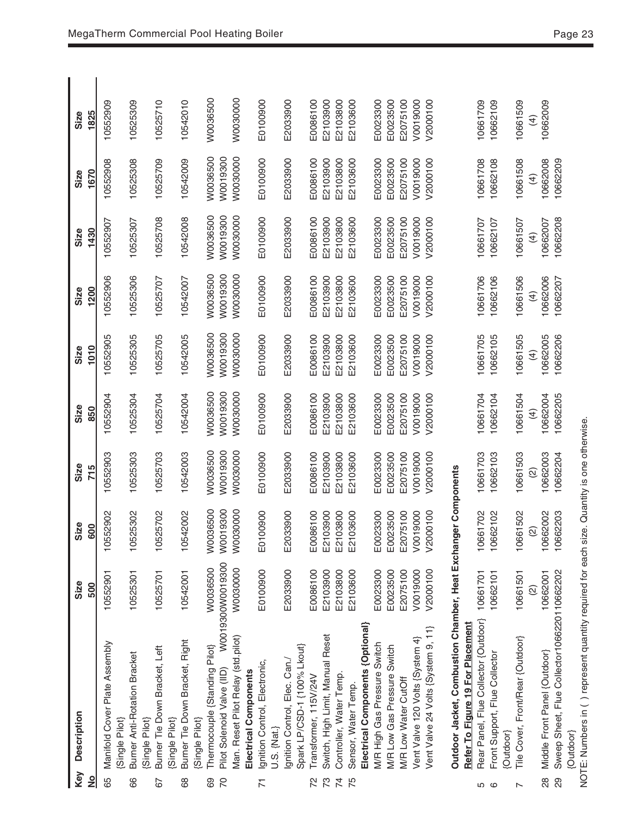| Key            | <b>Description</b>                                                                        | Size               | Size          | Size          | Size           | Size              | Size           | Size           | Size           | Size           |
|----------------|-------------------------------------------------------------------------------------------|--------------------|---------------|---------------|----------------|-------------------|----------------|----------------|----------------|----------------|
| $\frac{1}{2}$  |                                                                                           | 500                | 600           | 715           | 850            | 1010              | 1200           | 1430           | 1670           | 1825           |
| 89             | Manifold Cover Plate Assembly                                                             | 10552901           | 10552902      | 10552903      | 10552904       | 10552905          | 10552906       | 10552907       | 10552908       | 10552909       |
| 89             | Burner Anti-Rotation Bracket<br>(Single Pilot)                                            | 10525301           | 10525302      | 10525303      | 10525304       | 10525305          | 10525306       | 10525307       | 10525308       | 10525309       |
|                | (Single Pilot)                                                                            |                    |               |               |                |                   |                |                |                |                |
| 57             | Burner Tie Down Bracket, Left                                                             | 10525701           | 10525702      | 10525703      | 10525704       | 10525705          | 10525707       | 10525708       | 10525709       | 10525710       |
|                | [Single Pilot]                                                                            |                    |               |               |                |                   |                |                |                |                |
| 89             | Burner Tie Down Bracket, Right<br>[Single Pilot]                                          | 10542001           | 10542002      | 10542003      | 10542004       | 10542005          | 10542007       | 10542008       | 10542009       | 10542010       |
| 89             | Thermocouple {Standing Pilot}                                                             | W0036500           | W0036500      | W0036500      | W0036500       | W0036500          | W0036500       | W0036500       | W0036500       | W0036500       |
| P <sub>2</sub> | Pilot Solenoid Valve (IID)                                                                | W0019300W0019300   | W0019300      | W0019300      | W0019300       | W0019300          | WO019300       | W0019300       | W0019300       |                |
|                | Man. Reset Pilot Relay (std.pilot)                                                        | W0030000           | W0030000      | W0030000      | W0030000       | W0030000          | W0030000       | W0030000       | W0030000       | WO030000       |
|                | Electrical Components                                                                     |                    |               |               |                |                   |                |                |                |                |
|                | Ignition Control, Electronic,<br>U.S. {Nat.}                                              | E0100900           | 00900<br>E    | E0100900      | E0100900       | E0100900          | E0100900       | E0100900       | E0100900       | E0100900       |
|                | gnition Control, Elec. Can./                                                              | E2033900           | E2033900      | E2033900      | E2033900       | E2033900          | E2033900       | E2033900       | E2033900       | E2033900       |
|                | Spark LP/CSD-1 {100% Lkout}                                                               |                    |               |               |                |                   |                |                |                |                |
| 22             | Transformer, 115V/24V                                                                     | E0086100           | E0086100      | E0086100      | E0086100       | E0086100          | E0086100       | E0086100       | E0086100       | E0086100       |
| 73             | Switch, High Limit, Manual Reset                                                          | E2103900           | 03900<br>E21  | E2103900      | E2103900       | E2103900          | E2103900       | E2103900       | E2103900       | E2103900       |
| $\overline{7}$ | Controller, Water Temp.                                                                   | E2103800           | 03800<br>E21  | E2103800      | E2103800       | E2103800          | E2103800       | E2103800       | E2103800       | E2103800       |
| 75             | Sensor, Water Temp.                                                                       | E2103600           | 03600<br>E21  | E2103600      | E2103600       | E2103600          | E2103600       | E2103600       | E2103600       | E2103600       |
|                | Electrical Components {Optional}                                                          |                    |               |               |                |                   |                |                |                |                |
|                | M/R High Gas Pressure Switch                                                              | E0023300           | E0023300      | E0023300      | E0023300       | E0023300          | E0023300       | E0023300       | E0023300       | E0023300       |
|                | M/R Low Gas Pressure Switch                                                               | E0023500           | E0023500      | E0023500      | E0023500       | E0023500          | E0023500       | E0023500       | E0023500       | E0023500       |
|                | M/R Low Water CutOff                                                                      | E2075100           | E2075100      | E2075100      | E2075100       | E2075100          | E2075100       | E2075100       | E2075100       | E2075100       |
|                | Vent Valve 120 Volts {System 4}                                                           | V0019000           | V0019000      | V0019000      | V0019000       | V0019000          | V0019000       | V0019000       | V0019000       | V0019000       |
|                | Vent Valve 24 Volts {System 9, 11}                                                        | V2000100           | V2000100      | V2000100      | V2000100       | V2000100          | V2000100       | V2000100       | V2000100       | V2000100       |
|                | Outdoor Jacket, Combustion Chamber, Heat Exchanger Components                             |                    |               |               |                |                   |                |                |                |                |
|                | Refer To Figure 19 For Placement                                                          |                    |               |               |                |                   |                |                |                |                |
| ს დ            | Rear Panel, Flue Collector {Outdoor}                                                      | 10661701           | 10661702      | 10661703      | 10661704       | 10661705          | 10661706       | 10661707       | 10661708       | 10661709       |
|                | Front Support, Flue Collector                                                             | 10662101           | 10662102      | 10662103      | 10662104       | 10662105          | 10662106       | 10662107       | 10662108       | 10662109       |
|                | {Outdoor}                                                                                 |                    |               |               |                |                   |                |                |                |                |
|                | Tile Cover, Front/Rear {Outdoor}                                                          | 10661501           | 10661502      | 10661503      | 10661504       | 10661505          | 10661506       | 10661507       | 10661508       | 10661509       |
|                |                                                                                           | $\widehat{\omega}$ | $\widehat{2}$ | $\widehat{a}$ | $\overline{4}$ | $\left( 4\right)$ | $\overline{4}$ | $\overline{4}$ | $\overline{4}$ | $\overline{4}$ |
| 88             | Middle Front Panel {Outdoor}                                                              | 10662001           | 10662002      | 10662003      | 10662004       | 10662005          | 10662006       | 10662007       | 10662008       | 10662009       |
| 29             | Sweep Sheet, Flue Collector1066220110662202                                               |                    | 10662203      | 10662204      | 10662205       | 10662206          | 10662207       | 10662208       | 10662209       |                |
|                | {Outdoor}                                                                                 |                    |               |               |                |                   |                |                |                |                |
|                | NOTE: Numbers in () represent quantity required for each size. Quantity is one otherwise. |                    |               |               |                |                   |                |                |                |                |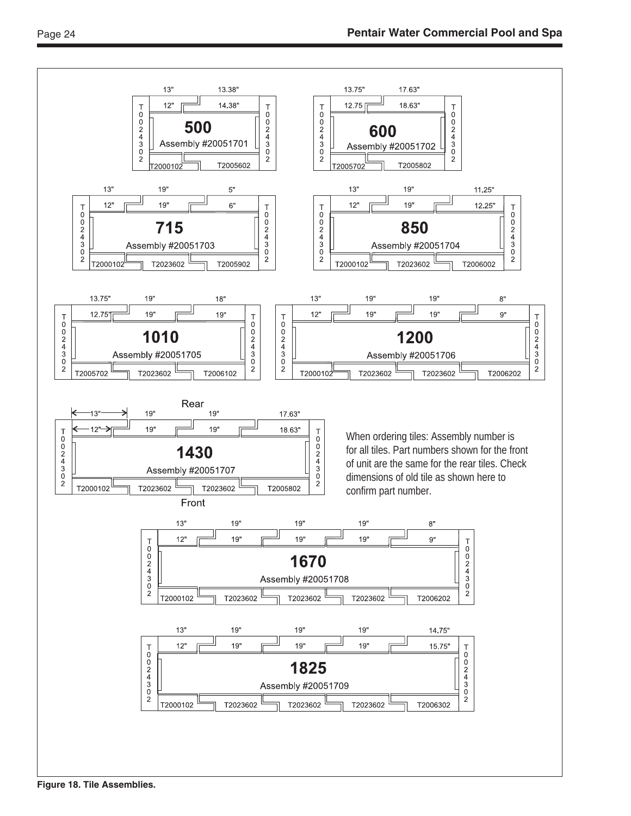

**Figure 18. Tile Assemblies.**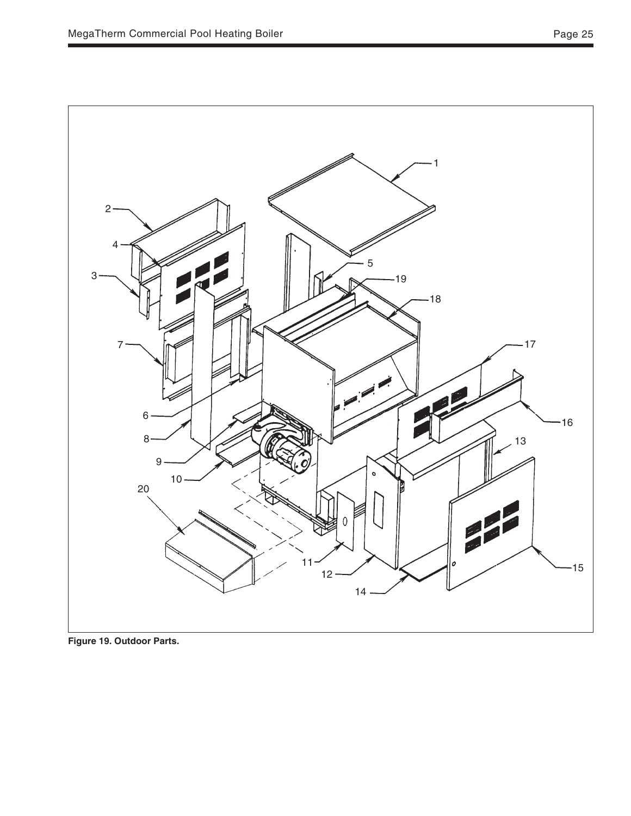

**Figure 19. Outdoor Parts.**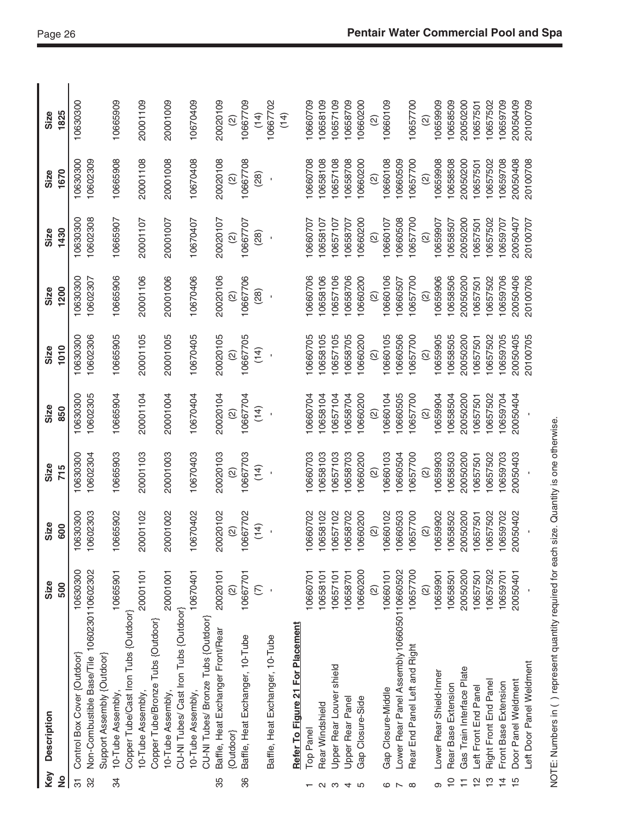| Key<br>$\frac{1}{2}$       | Description                                                                                    | Size<br>500          | Size<br>600                    | Size<br>715                    | Size<br>850                    | 1010<br>Size                   | 1200<br>Size         | 1430<br>Size                           | 1670<br>Size                   | 1825<br>Size                           |
|----------------------------|------------------------------------------------------------------------------------------------|----------------------|--------------------------------|--------------------------------|--------------------------------|--------------------------------|----------------------|----------------------------------------|--------------------------------|----------------------------------------|
| 32<br>$\overline{5}$       | Non-Combustible Base/Tile 1060230110602302<br>Control Box Cover {Outdoor}                      | 10630300             | 10602303<br>10630300           | 10630300<br>10602304           | 10602305<br>10630300           | 10602306<br>10630300           | 10630300<br>10602307 | 10602308<br>10630300                   | 10630300<br>10602309           | 10630300                               |
| ೫                          | Support Assembly {Outdoor}<br>10-Tube Assembly                                                 | 0665901              | 10665902                       | 10665903                       | 10665904                       | 10665905                       | 10665906             | 10665907                               | 10665908                       | 10665909                               |
|                            | Copper Tube/Cast Iron Tubs {Outdoor}<br>Copper Tube/Bronze Tubs {Outdoor}<br>10-Tube Assembly, | 20001101             | 20001102                       | 20001103                       | 20001104                       | 20001105                       | 20001106             | 20001107                               | 20001108                       | 20001109                               |
|                            | CU-NI Tubes/ Cast Iron Tubs {Outdoor}<br>10-Tube Assembly,                                     | 20001001             | 20001002                       | 20001003                       | 20001004                       | 20001005                       | 20001006             | 20001007                               | 20001008                       | 20001009                               |
|                            | CU-NI Tubes/ Bronze Tubs {Outdoor]<br>10-Tube Assembly,                                        | 10670401             | 10670402                       | 10670403                       | 10670404                       | 10670405                       | 10670406             | 10670407                               | 10670408                       | 10670409                               |
| 35                         | Baffle, Heat Exchanger Front/Rear<br>{Outdoor}                                                 | 20020101             | 20020102<br>$\widehat{\omega}$ | 20020103                       | 20020104                       | 20020105                       | 20020106             | 20020107                               | 20020108                       | 20020109                               |
| 86                         | Baffle, Heat Exchanger, 10-Tube                                                                | 10667701             | 10667702<br>(14)               | 10667703<br>$\widehat{\infty}$ | 10667704<br>$\widehat{\infty}$ | 10667705<br>$\widehat{\infty}$ | 10667706             | 10667707<br>(28)<br>$\widehat{\infty}$ | 10667708<br>$\widehat{\infty}$ | 10667709<br>(14)<br>$\widehat{\infty}$ |
|                            | Baffle, Heat Exchanger, 10-Tube                                                                | $\widehat{\in}$      |                                | (14)                           | (14)                           | (14)                           | (28)                 |                                        | (28)                           | 10667702<br>(14)                       |
|                            | Refer To Figure 21 For Placement                                                               |                      |                                |                                |                                |                                |                      |                                        |                                |                                        |
|                            | Top Panel                                                                                      | 10660701             | 10660702                       | 10660703                       | 10660704                       | 10660705                       | 10660706             | 10660707                               | 10660708                       | 10660709                               |
|                            | Rear Windshield                                                                                | 10658101             | 10658102                       | 10658103                       | 0658104                        | 10658105                       | 10658106             | 10658107                               | 0658108                        | 10658109                               |
|                            | Upper Rear Louver shield<br>Upper Rear Panel                                                   | 10657101<br>10658701 | 10657102<br>10658702           | 0657103<br>0658703             | 0657104<br>0658704             | 0658705<br>0657105             | 10657106<br>10658706 | 0657107<br>0658707                     | 0657108<br>0658708             | 0658709<br>10657109                    |
| 0 w 4 m                    | Gap Closure-Side                                                                               | 10660200             | 10660200                       | 0660200                        | 0660200                        | 0660200                        | 10660200             | 0660200                                | 0660200                        | 10660200                               |
|                            |                                                                                                | $\widehat{\omega}$   | $\widehat{2}$                  | $\widehat{\odot}$              | $\widehat{\infty}$             | $\widehat{a}$                  | $\widehat{2}$        | $\widehat{\omega}$                     | $\widehat{2}$                  | $\widehat{2}$                          |
| ဇ                          | Gap Closure-Middle                                                                             | 10660101             | 10660102                       | 10660103                       | 0660104                        | 10660105                       | 10660106             | 10660107                               | 10660108                       | 10660109                               |
| $\overline{ }$             | Lower Rear Panel Assembly 1066050110660502                                                     |                      | 10660503                       | 10660504                       | 0660505                        | 10660506                       | 10660507             | 10660508                               | 0660509                        |                                        |
| $\infty$                   | Rear End Panel Left and Right                                                                  | 10657700             | 10657700                       | 10657700                       | 10657700                       | 10657700                       | 10657700             | 10657700                               | 10657700                       | 10657700                               |
|                            | Lower Rear Shield-Inner                                                                        | $\widehat{\infty}$   | 10659902<br>$\widehat{2}$      | 10659903<br>$\widehat{\omega}$ | $\widehat{2}$                  | $\widehat{\omega}$             | $\widehat{\omega}$   | 10659907<br>$\widehat{\omega}$         | $\widehat{2}$                  | $\widehat{\omega}$                     |
| $\overline{C}$<br>$\infty$ | Rear Base Extension                                                                            | 10659901<br>10658501 | 10658502                       | 10658503                       | 0659904<br>0658504             | 10659905<br>10658505           | 10659906<br>10658506 | 10658507                               | 10659908<br>10658508           | 10659909<br>10658509                   |
| Ξ                          | Gas Train Interface Plate                                                                      | 20050200             | 20050200                       | 20050200                       | 20050200                       | 20050200                       | 20050200             | 20050200                               | 20050200                       | 20050200                               |
| $\frac{1}{2}$              | Left Front End Panel                                                                           | 10657501             | 10657501                       | 10657501                       | 10657501                       | 10657501                       | 10657501             | 10657501                               | 10657501                       | 10657501                               |
| $\frac{1}{2}$              | Right Front End Panel                                                                          | 10657502             | 10657502                       | 10657502                       | 0657502                        | 0657502                        | 10657502             | 10657502                               | 10657502                       | 10657502                               |
| $\overline{4}$             | Front Base Extension                                                                           | 10659701             | 10659702                       | 10659703                       | 0659704                        | 0659705                        | 10659706             | 10659707                               | 10659708                       | 10659709                               |
| $\frac{15}{2}$             | Door Panel Weldment                                                                            | 20050401             | 20050402                       | 20050403                       | 20050404                       | 20050405                       | 20050406             | 20050407                               | 20050408                       | 20050409                               |
|                            | Left Door Panel Weldment                                                                       |                      |                                |                                |                                | 20100705                       | 20100706             | 20100707                               | 20100708                       | 20100709                               |
|                            | NOTE: Numbers in () represent quantity required for each size. Quantity is one otherwise.      |                      |                                |                                |                                |                                |                      |                                        |                                |                                        |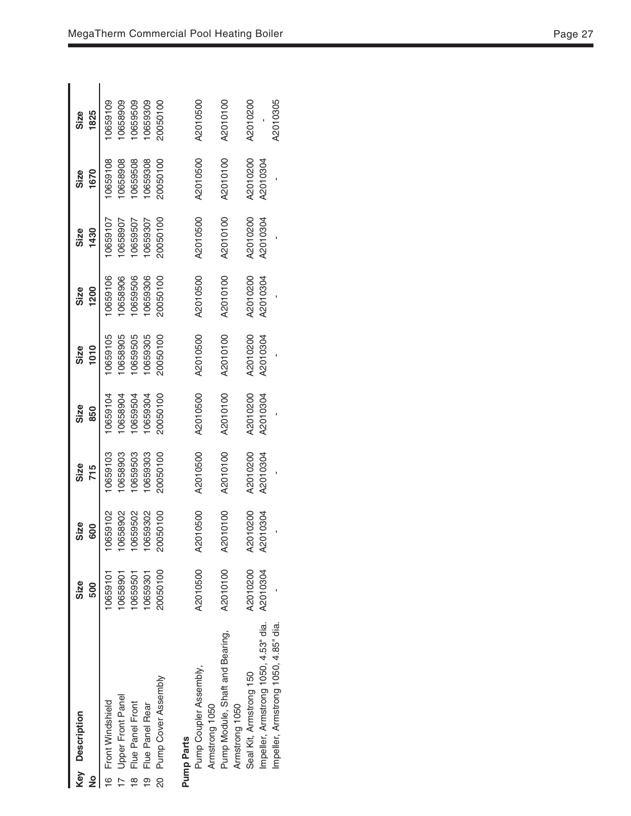| Key Description<br>و                                                                                                                                               | Size<br>500                                              | Size<br>600                                             | Size<br>715                                          | Size<br>850                                          | Size<br>1010                                         | Size<br>1200                                         | Size<br>1430                                          | 1670<br>Size                                         | 1825<br>Size                                         |
|--------------------------------------------------------------------------------------------------------------------------------------------------------------------|----------------------------------------------------------|---------------------------------------------------------|------------------------------------------------------|------------------------------------------------------|------------------------------------------------------|------------------------------------------------------|-------------------------------------------------------|------------------------------------------------------|------------------------------------------------------|
| Pump Cover Assembly<br>Upper Front Panel<br>Front Windshield<br>Flue Panel Front<br>Flue Panel Rear<br>$\overline{6}$<br>g<br><u>စု</u><br>$\overline{\mathbf{8}}$ | 20050100<br>10659301<br>10659101<br>10658901<br>10659501 | 10658902<br>20050100<br>0659102<br>10659502<br>10659302 | 0659303<br>0659103<br>0658903<br>0659503<br>20050100 | 20050100<br>0659504<br>0659304<br>0659104<br>0658904 | 0658905<br>0659105<br>0659505<br>0659305<br>20050100 | 0659306<br>0659106<br>0658906<br>0659506<br>20050100 | 20050100<br>0659107<br>10659507<br>0659307<br>0658907 | 0659108<br>0658908<br>0659508<br>0659308<br>20050100 | 0659309<br>0659109<br>0658909<br>0659509<br>20050100 |
| Pump Coupler Assembly,<br>Armstrong 1050<br>Pump Parts                                                                                                             | A2010500                                                 | A2010500                                                | A2010500                                             | A2010500                                             | A2010500                                             | A2010500                                             | A2010500                                              | A2010500                                             | A2010500                                             |
| Pump Module, Shaft and Bearing,<br>Armstrong 1050                                                                                                                  | A2010100                                                 | 010100<br>ବ୍ୟ                                           | A2010100                                             | A2010100                                             | A2010100                                             | A2010100                                             | A2010100                                              | A2010100                                             | A2010100                                             |
| Impeller, Armstrong 1050, 4.53" dia.<br>Seal Kit, Armstrong 150                                                                                                    | A2010200<br>A2010304                                     | A2010200<br>A2010304                                    | A2010200<br>A2010304                                 | A2010200<br>A2010304                                 | A2010200<br>A2010304                                 | A2010200<br>A2010304                                 | A2010200<br>A2010304                                  | A2010200<br>A2010304                                 | A2010200                                             |
| Impeller, Armstrong 1050, 4.85" dia.                                                                                                                               |                                                          |                                                         |                                                      |                                                      |                                                      |                                                      |                                                       |                                                      | A2010305                                             |